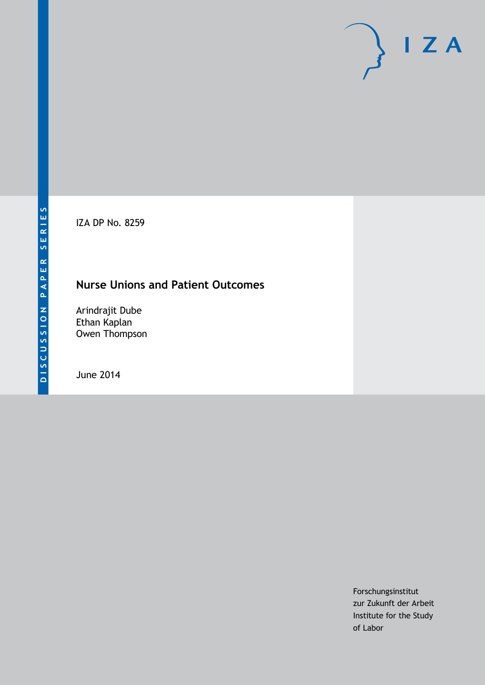IZA DP No. 8259

# **Nurse Unions and Patient Outcomes**

Arindrajit Dube Ethan Kaplan Owen Thompson

June 2014

Forschungsinstitut zur Zukunft der Arbeit Institute for the Study of Labor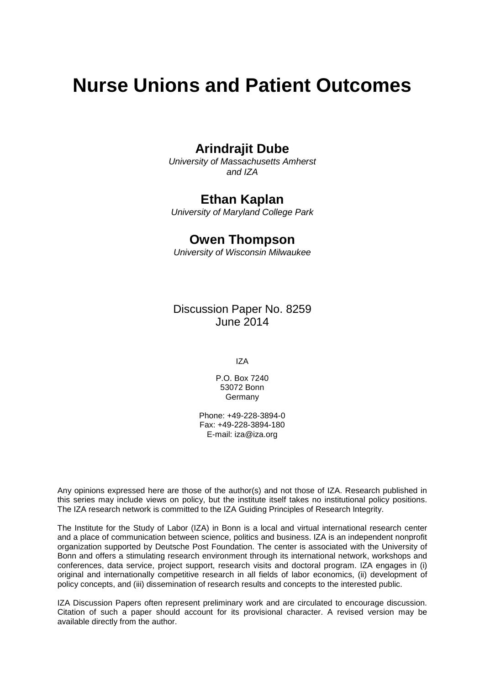# **Nurse Unions and Patient Outcomes**

# **Arindrajit Dube**

*University of Massachusetts Amherst and IZA*

### **Ethan Kaplan**

*University of Maryland College Park*

## **Owen Thompson**

*University of Wisconsin Milwaukee*

Discussion Paper No. 8259 June 2014

IZA

P.O. Box 7240 53072 Bonn Germany

Phone: +49-228-3894-0 Fax: +49-228-3894-180 E-mail: [iza@iza.org](mailto:iza@iza.org)

Any opinions expressed here are those of the author(s) and not those of IZA. Research published in this series may include views on policy, but the institute itself takes no institutional policy positions. The IZA research network is committed to the IZA Guiding Principles of Research Integrity.

The Institute for the Study of Labor (IZA) in Bonn is a local and virtual international research center and a place of communication between science, politics and business. IZA is an independent nonprofit organization supported by Deutsche Post Foundation. The center is associated with the University of Bonn and offers a stimulating research environment through its international network, workshops and conferences, data service, project support, research visits and doctoral program. IZA engages in (i) original and internationally competitive research in all fields of labor economics, (ii) development of policy concepts, and (iii) dissemination of research results and concepts to the interested public.

IZA Discussion Papers often represent preliminary work and are circulated to encourage discussion. Citation of such a paper should account for its provisional character. A revised version may be available directly from the author.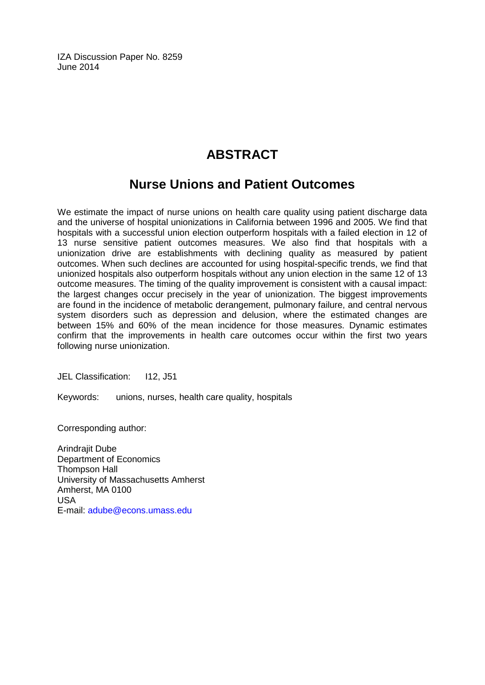IZA Discussion Paper No. 8259 June 2014

# **ABSTRACT**

# **Nurse Unions and Patient Outcomes**

We estimate the impact of nurse unions on health care quality using patient discharge data and the universe of hospital unionizations in California between 1996 and 2005. We find that hospitals with a successful union election outperform hospitals with a failed election in 12 of 13 nurse sensitive patient outcomes measures. We also find that hospitals with a unionization drive are establishments with declining quality as measured by patient outcomes. When such declines are accounted for using hospital-specific trends, we find that unionized hospitals also outperform hospitals without any union election in the same 12 of 13 outcome measures. The timing of the quality improvement is consistent with a causal impact: the largest changes occur precisely in the year of unionization. The biggest improvements are found in the incidence of metabolic derangement, pulmonary failure, and central nervous system disorders such as depression and delusion, where the estimated changes are between 15% and 60% of the mean incidence for those measures. Dynamic estimates confirm that the improvements in health care outcomes occur within the first two years following nurse unionization.

JEL Classification: I12, J51

Keywords: unions, nurses, health care quality, hospitals

Corresponding author:

Arindrajit Dube Department of Economics Thompson Hall University of Massachusetts Amherst Amherst, MA 0100 USA E-mail: [adube@econs.umass.edu](mailto:adube@econs.umass.edu)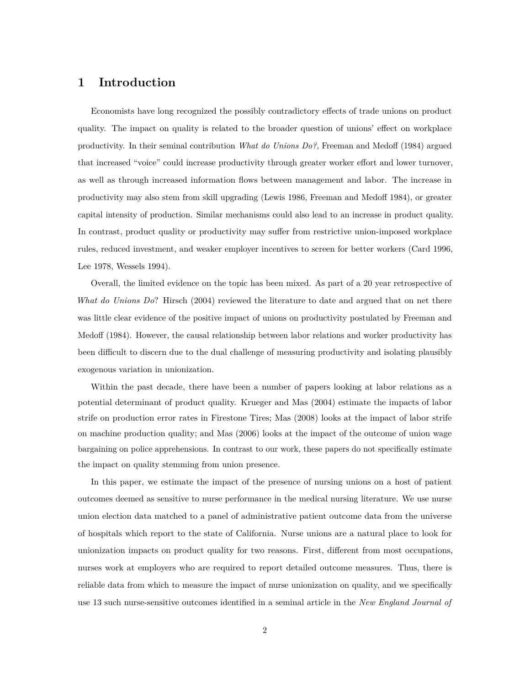#### **1 Introduction**

Economists have long recognized the possibly contradictory effects of trade unions on product quality. The impact on quality is related to the broader question of unions' effect on workplace productivity. In their seminal contribution *What do Unions Do?,* Freeman and Medoff (1984) argued that increased "voice" could increase productivity through greater worker effort and lower turnover, as well as through increased information flows between management and labor. The increase in productivity may also stem from skill upgrading (Lewis 1986, Freeman and Medoff 1984), or greater capital intensity of production. Similar mechanisms could also lead to an increase in product quality. In contrast, product quality or productivity may suffer from restrictive union-imposed workplace rules, reduced investment, and weaker employer incentives to screen for better workers (Card 1996, Lee 1978, Wessels 1994).

Overall, the limited evidence on the topic has been mixed. As part of a 20 year retrospective of *What do Unions Do*? Hirsch (2004) reviewed the literature to date and argued that on net there was little clear evidence of the positive impact of unions on productivity postulated by Freeman and Medoff (1984). However, the causal relationship between labor relations and worker productivity has been difficult to discern due to the dual challenge of measuring productivity and isolating plausibly exogenous variation in unionization.

Within the past decade, there have been a number of papers looking at labor relations as a potential determinant of product quality. Krueger and Mas (2004) estimate the impacts of labor strife on production error rates in Firestone Tires; Mas (2008) looks at the impact of labor strife on machine production quality; and Mas (2006) looks at the impact of the outcome of union wage bargaining on police apprehensions. In contrast to our work, these papers do not specifically estimate the impact on quality stemming from union presence.

In this paper, we estimate the impact of the presence of nursing unions on a host of patient outcomes deemed as sensitive to nurse performance in the medical nursing literature. We use nurse union election data matched to a panel of administrative patient outcome data from the universe of hospitals which report to the state of California. Nurse unions are a natural place to look for unionization impacts on product quality for two reasons. First, different from most occupations, nurses work at employers who are required to report detailed outcome measures. Thus, there is reliable data from which to measure the impact of nurse unionization on quality, and we specifically use 13 such nurse-sensitive outcomes identified in a seminal article in the *New England Journal of*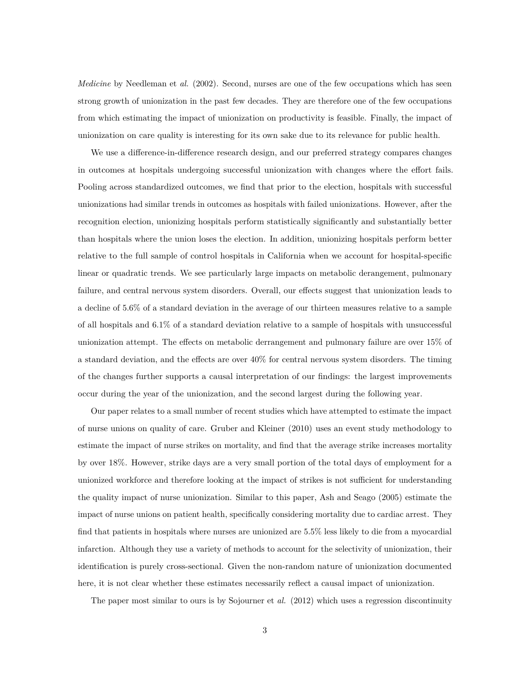*Medicine* by Needleman et *al.* (2002). Second, nurses are one of the few occupations which has seen strong growth of unionization in the past few decades. They are therefore one of the few occupations from which estimating the impact of unionization on productivity is feasible. Finally, the impact of unionization on care quality is interesting for its own sake due to its relevance for public health.

We use a difference-in-difference research design, and our preferred strategy compares changes in outcomes at hospitals undergoing successful unionization with changes where the effort fails. Pooling across standardized outcomes, we find that prior to the election, hospitals with successful unionizations had similar trends in outcomes as hospitals with failed unionizations. However, after the recognition election, unionizing hospitals perform statistically significantly and substantially better than hospitals where the union loses the election. In addition, unionizing hospitals perform better relative to the full sample of control hospitals in California when we account for hospital-specific linear or quadratic trends. We see particularly large impacts on metabolic derangement, pulmonary failure, and central nervous system disorders. Overall, our effects suggest that unionization leads to a decline of 5.6% of a standard deviation in the average of our thirteen measures relative to a sample of all hospitals and 6.1% of a standard deviation relative to a sample of hospitals with unsuccessful unionization attempt. The effects on metabolic derrangement and pulmonary failure are over 15% of a standard deviation, and the effects are over 40% for central nervous system disorders. The timing of the changes further supports a causal interpretation of our findings: the largest improvements occur during the year of the unionization, and the second largest during the following year.

Our paper relates to a small number of recent studies which have attempted to estimate the impact of nurse unions on quality of care. Gruber and Kleiner (2010) uses an event study methodology to estimate the impact of nurse strikes on mortality, and find that the average strike increases mortality by over 18%. However, strike days are a very small portion of the total days of employment for a unionized workforce and therefore looking at the impact of strikes is not sufficient for understanding the quality impact of nurse unionization. Similar to this paper, Ash and Seago (2005) estimate the impact of nurse unions on patient health, specifically considering mortality due to cardiac arrest. They find that patients in hospitals where nurses are unionized are 5.5% less likely to die from a myocardial infarction. Although they use a variety of methods to account for the selectivity of unionization, their identification is purely cross-sectional. Given the non-random nature of unionization documented here, it is not clear whether these estimates necessarily reflect a causal impact of unionization.

The paper most similar to ours is by Sojourner et *al.* (2012) which uses a regression discontinuity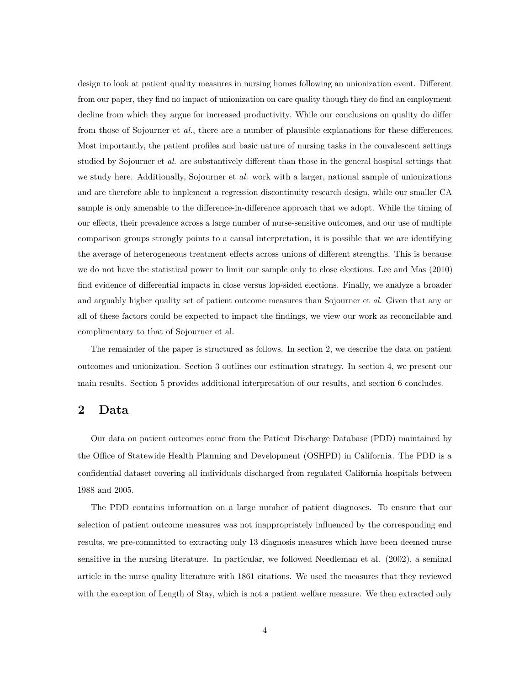design to look at patient quality measures in nursing homes following an unionization event. Different from our paper, they find no impact of unionization on care quality though they do find an employment decline from which they argue for increased productivity. While our conclusions on quality do differ from those of Sojourner et *al.*, there are a number of plausible explanations for these differences. Most importantly, the patient profiles and basic nature of nursing tasks in the convalescent settings studied by Sojourner et *al.* are substantively different than those in the general hospital settings that we study here. Additionally, Sojourner et *al.* work with a larger, national sample of unionizations and are therefore able to implement a regression discontinuity research design, while our smaller CA sample is only amenable to the difference-in-difference approach that we adopt. While the timing of our effects, their prevalence across a large number of nurse-sensitive outcomes, and our use of multiple comparison groups strongly points to a causal interpretation, it is possible that we are identifying the average of heterogeneous treatment effects across unions of different strengths. This is because we do not have the statistical power to limit our sample only to close elections. Lee and Mas (2010) find evidence of differential impacts in close versus lop-sided elections. Finally, we analyze a broader and arguably higher quality set of patient outcome measures than Sojourner et *al.* Given that any or all of these factors could be expected to impact the findings, we view our work as reconcilable and complimentary to that of Sojourner et al.

The remainder of the paper is structured as follows. In section 2, we describe the data on patient outcomes and unionization. Section 3 outlines our estimation strategy. In section 4, we present our main results. Section 5 provides additional interpretation of our results, and section 6 concludes.

#### **2 Data**

Our data on patient outcomes come from the Patient Discharge Database (PDD) maintained by the Office of Statewide Health Planning and Development (OSHPD) in California. The PDD is a confidential dataset covering all individuals discharged from regulated California hospitals between 1988 and 2005.

The PDD contains information on a large number of patient diagnoses. To ensure that our selection of patient outcome measures was not inappropriately influenced by the corresponding end results, we pre-committed to extracting only 13 diagnosis measures which have been deemed nurse sensitive in the nursing literature. In particular, we followed Needleman et al. (2002), a seminal article in the nurse quality literature with 1861 citations. We used the measures that they reviewed with the exception of Length of Stay, which is not a patient welfare measure. We then extracted only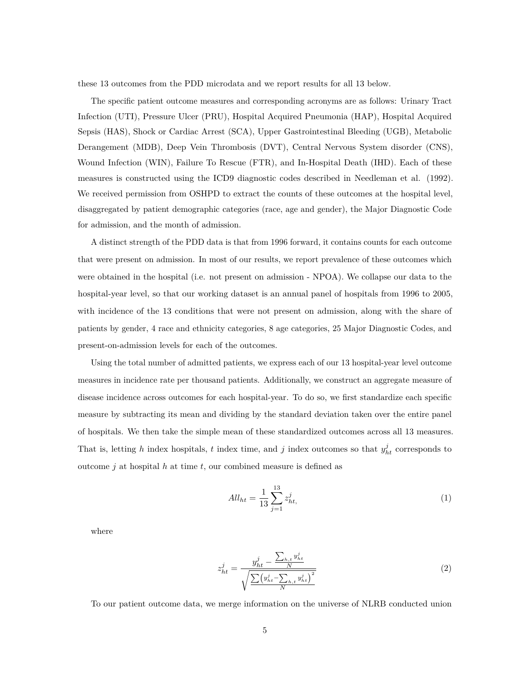these 13 outcomes from the PDD microdata and we report results for all 13 below.

The specific patient outcome measures and corresponding acronyms are as follows: Urinary Tract Infection (UTI), Pressure Ulcer (PRU), Hospital Acquired Pneumonia (HAP), Hospital Acquired Sepsis (HAS), Shock or Cardiac Arrest (SCA), Upper Gastrointestinal Bleeding (UGB), Metabolic Derangement (MDB), Deep Vein Thrombosis (DVT), Central Nervous System disorder (CNS), Wound Infection (WIN), Failure To Rescue (FTR), and In-Hospital Death (IHD). Each of these measures is constructed using the ICD9 diagnostic codes described in Needleman et al. (1992). We received permission from OSHPD to extract the counts of these outcomes at the hospital level, disaggregated by patient demographic categories (race, age and gender), the Major Diagnostic Code for admission, and the month of admission.

A distinct strength of the PDD data is that from 1996 forward, it contains counts for each outcome that were present on admission. In most of our results, we report prevalence of these outcomes which were obtained in the hospital (i.e. not present on admission - NPOA). We collapse our data to the hospital-year level, so that our working dataset is an annual panel of hospitals from 1996 to 2005, with incidence of the 13 conditions that were not present on admission, along with the share of patients by gender, 4 race and ethnicity categories, 8 age categories, 25 Major Diagnostic Codes, and present-on-admission levels for each of the outcomes.

Using the total number of admitted patients, we express each of our 13 hospital-year level outcome measures in incidence rate per thousand patients. Additionally, we construct an aggregate measure of disease incidence across outcomes for each hospital-year. To do so, we first standardize each specific measure by subtracting its mean and dividing by the standard deviation taken over the entire panel of hospitals. We then take the simple mean of these standardized outcomes across all 13 measures. That is, letting *h* index hospitals, *t* index time, and *j* index outcomes so that  $y_{ht}^j$  corresponds to outcome *j* at hospital *h* at time *t*, our combined measure is defined as

$$
All_{ht} = \frac{1}{13} \sum_{j=1}^{13} z_{ht}^j,
$$
 (1)

where

$$
z_{ht}^{j} = \frac{y_{ht}^{j} - \frac{\sum_{h,t} y_{ht}^{j}}{N}}{\sqrt{\frac{\sum (y_{ht}^{j} - \sum_{h,t} y_{ht}^{j})^{2}}{N}}}
$$
(2)

To our patient outcome data, we merge information on the universe of NLRB conducted union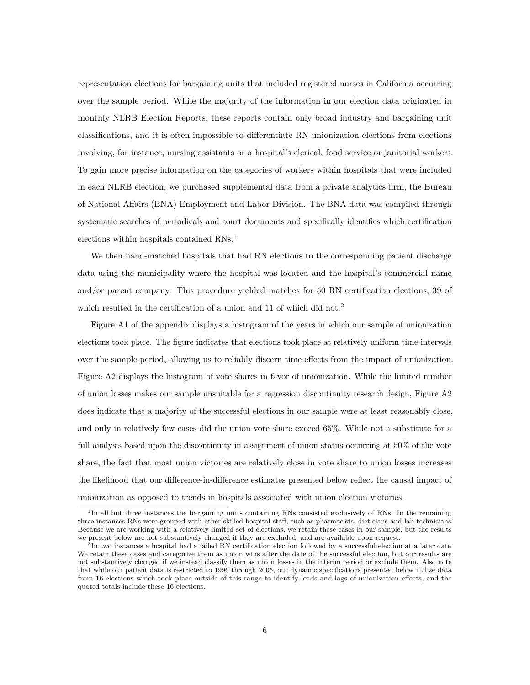representation elections for bargaining units that included registered nurses in California occurring over the sample period. While the majority of the information in our election data originated in monthly NLRB Election Reports, these reports contain only broad industry and bargaining unit classifications, and it is often impossible to differentiate RN unionization elections from elections involving, for instance, nursing assistants or a hospital's clerical, food service or janitorial workers. To gain more precise information on the categories of workers within hospitals that were included in each NLRB election, we purchased supplemental data from a private analytics firm, the Bureau of National Affairs (BNA) Employment and Labor Division. The BNA data was compiled through systematic searches of periodicals and court documents and specifically identifies which certification elections within hospitals contained RNs.<sup>1</sup>

We then hand-matched hospitals that had RN elections to the corresponding patient discharge data using the municipality where the hospital was located and the hospital's commercial name and/or parent company. This procedure yielded matches for 50 RN certification elections, 39 of which resulted in the certification of a union and 11 of which did not.<sup>2</sup>

Figure A1 of the appendix displays a histogram of the years in which our sample of unionization elections took place. The figure indicates that elections took place at relatively uniform time intervals over the sample period, allowing us to reliably discern time effects from the impact of unionization. Figure A2 displays the histogram of vote shares in favor of unionization. While the limited number of union losses makes our sample unsuitable for a regression discontinuity research design, Figure A2 does indicate that a majority of the successful elections in our sample were at least reasonably close, and only in relatively few cases did the union vote share exceed 65%. While not a substitute for a full analysis based upon the discontinuity in assignment of union status occurring at 50% of the vote share, the fact that most union victories are relatively close in vote share to union losses increases the likelihood that our difference-in-difference estimates presented below reflect the causal impact of unionization as opposed to trends in hospitals associated with union election victories.

<sup>&</sup>lt;sup>1</sup>In all but three instances the bargaining units containing RNs consisted exclusively of RNs. In the remaining three instances RNs were grouped with other skilled hospital staff, such as pharmacists, dieticians and lab technicians. Because we are working with a relatively limited set of elections, we retain these cases in our sample, but the results we present below are not substantively changed if they are excluded, and are available upon request.

 ${}^{2}$ In two instances a hospital had a failed RN certification election followed by a successful election at a later date. We retain these cases and categorize them as union wins after the date of the successful election, but our results are not substantively changed if we instead classify them as union losses in the interim period or exclude them. Also note that while our patient data is restricted to 1996 through 2005, our dynamic specifications presented below utilize data from 16 elections which took place outside of this range to identify leads and lags of unionization effects, and the quoted totals include these 16 elections.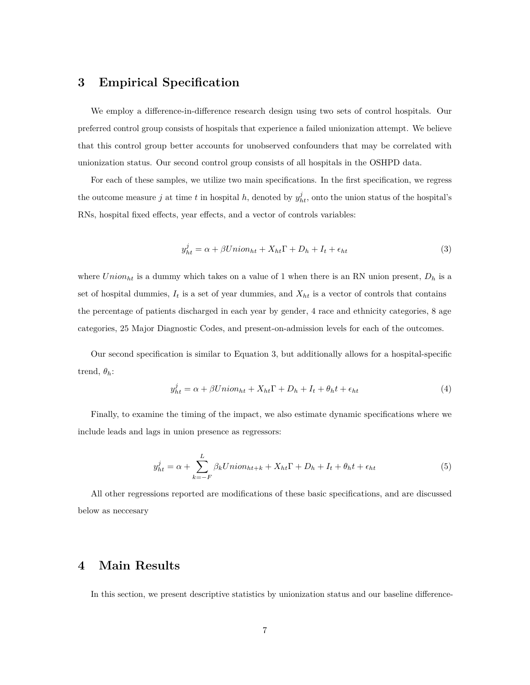### **3 Empirical Specification**

We employ a difference-in-difference research design using two sets of control hospitals. Our preferred control group consists of hospitals that experience a failed unionization attempt. We believe that this control group better accounts for unobserved confounders that may be correlated with unionization status. Our second control group consists of all hospitals in the OSHPD data.

For each of these samples, we utilize two main specifications. In the first specification, we regress the outcome measure *j* at time *t* in hospital *h*, denoted by  $y_{ht}^j$ , onto the union status of the hospital's RNs, hospital fixed effects, year effects, and a vector of controls variables:

$$
y_{ht}^{j} = \alpha + \beta Union_{ht} + X_{ht}\Gamma + D_{h} + I_{t} + \epsilon_{ht}
$$
\n(3)

where  $Union_{ht}$  is a dummy which takes on a value of 1 when there is an RN union present,  $D_h$  is a set of hospital dummies,  $I_t$  is a set of year dummies, and  $X_{ht}$  is a vector of controls that contains the percentage of patients discharged in each year by gender, 4 race and ethnicity categories, 8 age categories, 25 Major Diagnostic Codes, and present-on-admission levels for each of the outcomes.

Our second specification is similar to Equation 3, but additionally allows for a hospital-specific trend,  $\theta_h$ :

$$
y_{ht}^{j} = \alpha + \beta Union_{ht} + X_{ht}\Gamma + D_{h} + I_{t} + \theta_{h}t + \epsilon_{ht}
$$
\n<sup>(4)</sup>

Finally, to examine the timing of the impact, we also estimate dynamic specifications where we include leads and lags in union presence as regressors:

$$
y_{ht}^{j} = \alpha + \sum_{k=-F}^{L} \beta_k Union_{ht+k} + X_{ht}\Gamma + D_h + I_t + \theta_h t + \epsilon_{ht}
$$
\n
$$
\tag{5}
$$

All other regressions reported are modifications of these basic specifications, and are discussed below as neccesary

#### **4 Main Results**

In this section, we present descriptive statistics by unionization status and our baseline difference-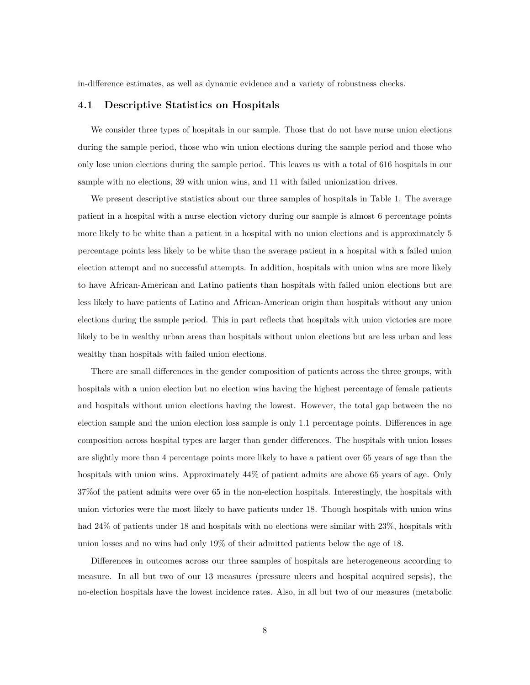in-difference estimates, as well as dynamic evidence and a variety of robustness checks.

#### **4.1 Descriptive Statistics on Hospitals**

We consider three types of hospitals in our sample. Those that do not have nurse union elections during the sample period, those who win union elections during the sample period and those who only lose union elections during the sample period. This leaves us with a total of 616 hospitals in our sample with no elections, 39 with union wins, and 11 with failed unionization drives.

We present descriptive statistics about our three samples of hospitals in Table 1. The average patient in a hospital with a nurse election victory during our sample is almost 6 percentage points more likely to be white than a patient in a hospital with no union elections and is approximately 5 percentage points less likely to be white than the average patient in a hospital with a failed union election attempt and no successful attempts. In addition, hospitals with union wins are more likely to have African-American and Latino patients than hospitals with failed union elections but are less likely to have patients of Latino and African-American origin than hospitals without any union elections during the sample period. This in part reflects that hospitals with union victories are more likely to be in wealthy urban areas than hospitals without union elections but are less urban and less wealthy than hospitals with failed union elections.

There are small differences in the gender composition of patients across the three groups, with hospitals with a union election but no election wins having the highest percentage of female patients and hospitals without union elections having the lowest. However, the total gap between the no election sample and the union election loss sample is only 1.1 percentage points. Differences in age composition across hospital types are larger than gender differences. The hospitals with union losses are slightly more than 4 percentage points more likely to have a patient over 65 years of age than the hospitals with union wins. Approximately  $44\%$  of patient admits are above 65 years of age. Only 37%of the patient admits were over 65 in the non-election hospitals. Interestingly, the hospitals with union victories were the most likely to have patients under 18. Though hospitals with union wins had 24% of patients under 18 and hospitals with no elections were similar with 23%, hospitals with union losses and no wins had only 19% of their admitted patients below the age of 18.

Differences in outcomes across our three samples of hospitals are heterogeneous according to measure. In all but two of our 13 measures (pressure ulcers and hospital acquired sepsis), the no-election hospitals have the lowest incidence rates. Also, in all but two of our measures (metabolic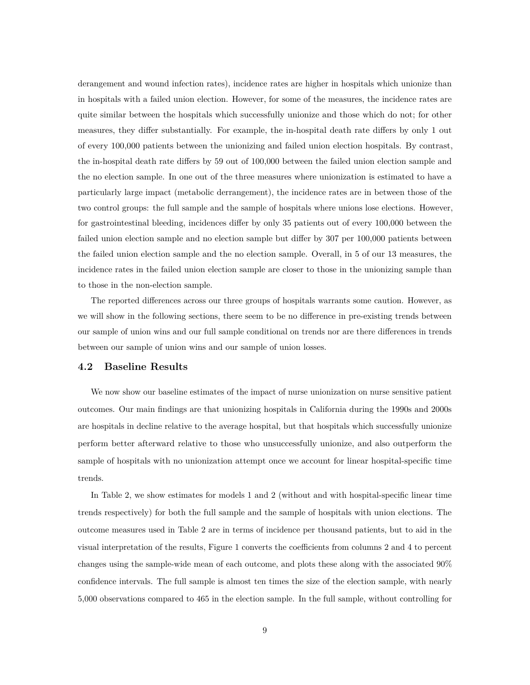derangement and wound infection rates), incidence rates are higher in hospitals which unionize than in hospitals with a failed union election. However, for some of the measures, the incidence rates are quite similar between the hospitals which successfully unionize and those which do not; for other measures, they differ substantially. For example, the in-hospital death rate differs by only 1 out of every 100,000 patients between the unionizing and failed union election hospitals. By contrast, the in-hospital death rate differs by 59 out of 100,000 between the failed union election sample and the no election sample. In one out of the three measures where unionization is estimated to have a particularly large impact (metabolic derrangement), the incidence rates are in between those of the two control groups: the full sample and the sample of hospitals where unions lose elections. However, for gastrointestinal bleeding, incidences differ by only 35 patients out of every 100,000 between the failed union election sample and no election sample but differ by 307 per 100,000 patients between the failed union election sample and the no election sample. Overall, in 5 of our 13 measures, the incidence rates in the failed union election sample are closer to those in the unionizing sample than to those in the non-election sample.

The reported differences across our three groups of hospitals warrants some caution. However, as we will show in the following sections, there seem to be no difference in pre-existing trends between our sample of union wins and our full sample conditional on trends nor are there differences in trends between our sample of union wins and our sample of union losses.

#### **4.2 Baseline Results**

We now show our baseline estimates of the impact of nurse unionization on nurse sensitive patient outcomes. Our main findings are that unionizing hospitals in California during the 1990s and 2000s are hospitals in decline relative to the average hospital, but that hospitals which successfully unionize perform better afterward relative to those who unsuccessfully unionize, and also outperform the sample of hospitals with no unionization attempt once we account for linear hospital-specific time trends.

In Table 2, we show estimates for models 1 and 2 (without and with hospital-specific linear time trends respectively) for both the full sample and the sample of hospitals with union elections. The outcome measures used in Table 2 are in terms of incidence per thousand patients, but to aid in the visual interpretation of the results, Figure 1 converts the coefficients from columns 2 and 4 to percent changes using the sample-wide mean of each outcome, and plots these along with the associated 90% confidence intervals. The full sample is almost ten times the size of the election sample, with nearly 5,000 observations compared to 465 in the election sample. In the full sample, without controlling for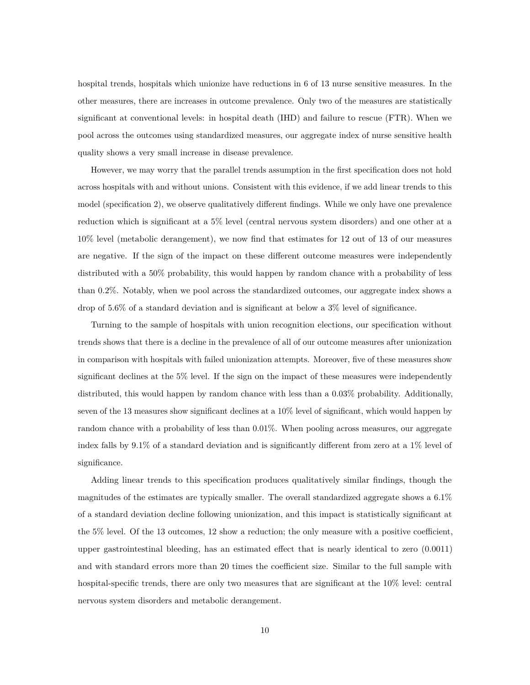hospital trends, hospitals which unionize have reductions in 6 of 13 nurse sensitive measures. In the other measures, there are increases in outcome prevalence. Only two of the measures are statistically significant at conventional levels: in hospital death (IHD) and failure to rescue (FTR). When we pool across the outcomes using standardized measures, our aggregate index of nurse sensitive health quality shows a very small increase in disease prevalence.

However, we may worry that the parallel trends assumption in the first specification does not hold across hospitals with and without unions. Consistent with this evidence, if we add linear trends to this model (specification 2), we observe qualitatively different findings. While we only have one prevalence reduction which is significant at a 5% level (central nervous system disorders) and one other at a 10% level (metabolic derangement), we now find that estimates for 12 out of 13 of our measures are negative. If the sign of the impact on these different outcome measures were independently distributed with a 50% probability, this would happen by random chance with a probability of less than 0.2%. Notably, when we pool across the standardized outcomes, our aggregate index shows a drop of 5.6% of a standard deviation and is significant at below a 3% level of significance.

Turning to the sample of hospitals with union recognition elections, our specification without trends shows that there is a decline in the prevalence of all of our outcome measures after unionization in comparison with hospitals with failed unionization attempts. Moreover, five of these measures show significant declines at the 5% level. If the sign on the impact of these measures were independently distributed, this would happen by random chance with less than a 0.03% probability. Additionally, seven of the 13 measures show significant declines at a 10% level of significant, which would happen by random chance with a probability of less than 0.01%. When pooling across measures, our aggregate index falls by 9.1% of a standard deviation and is significantly different from zero at a 1% level of significance.

Adding linear trends to this specification produces qualitatively similar findings, though the magnitudes of the estimates are typically smaller. The overall standardized aggregate shows a 6.1% of a standard deviation decline following unionization, and this impact is statistically significant at the 5% level. Of the 13 outcomes, 12 show a reduction; the only measure with a positive coefficient, upper gastrointestinal bleeding, has an estimated effect that is nearly identical to zero (0.0011) and with standard errors more than 20 times the coefficient size. Similar to the full sample with hospital-specific trends, there are only two measures that are significant at the 10% level: central nervous system disorders and metabolic derangement.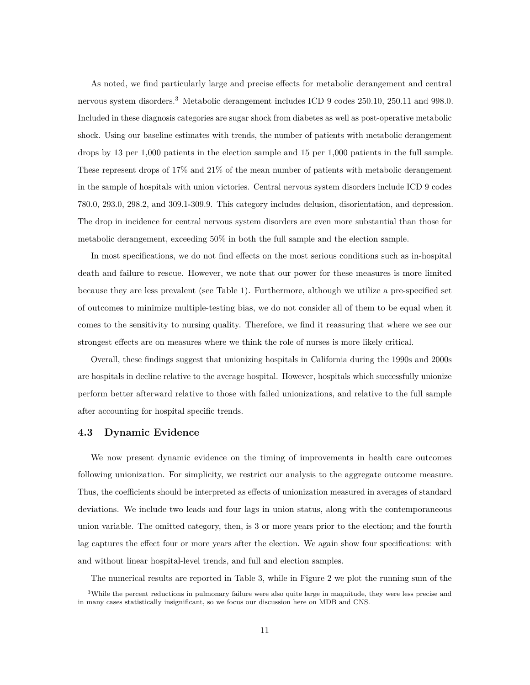As noted, we find particularly large and precise effects for metabolic derangement and central nervous system disorders.<sup>3</sup> Metabolic derangement includes ICD 9 codes 250.10, 250.11 and 998.0. Included in these diagnosis categories are sugar shock from diabetes as well as post-operative metabolic shock. Using our baseline estimates with trends, the number of patients with metabolic derangement drops by 13 per 1,000 patients in the election sample and 15 per 1,000 patients in the full sample. These represent drops of 17% and 21% of the mean number of patients with metabolic derangement in the sample of hospitals with union victories. Central nervous system disorders include ICD 9 codes 780.0, 293.0, 298.2, and 309.1-309.9. This category includes delusion, disorientation, and depression. The drop in incidence for central nervous system disorders are even more substantial than those for metabolic derangement, exceeding 50% in both the full sample and the election sample.

In most specifications, we do not find effects on the most serious conditions such as in-hospital death and failure to rescue. However, we note that our power for these measures is more limited because they are less prevalent (see Table 1). Furthermore, although we utilize a pre-specified set of outcomes to minimize multiple-testing bias, we do not consider all of them to be equal when it comes to the sensitivity to nursing quality. Therefore, we find it reassuring that where we see our strongest effects are on measures where we think the role of nurses is more likely critical.

Overall, these findings suggest that unionizing hospitals in California during the 1990s and 2000s are hospitals in decline relative to the average hospital. However, hospitals which successfully unionize perform better afterward relative to those with failed unionizations, and relative to the full sample after accounting for hospital specific trends.

#### **4.3 Dynamic Evidence**

We now present dynamic evidence on the timing of improvements in health care outcomes following unionization. For simplicity, we restrict our analysis to the aggregate outcome measure. Thus, the coefficients should be interpreted as effects of unionization measured in averages of standard deviations. We include two leads and four lags in union status, along with the contemporaneous union variable. The omitted category, then, is 3 or more years prior to the election; and the fourth lag captures the effect four or more years after the election. We again show four specifications: with and without linear hospital-level trends, and full and election samples.

The numerical results are reported in Table 3, while in Figure 2 we plot the running sum of the

<sup>3</sup>While the percent reductions in pulmonary failure were also quite large in magnitude, they were less precise and in many cases statistically insignificant, so we focus our discussion here on MDB and CNS.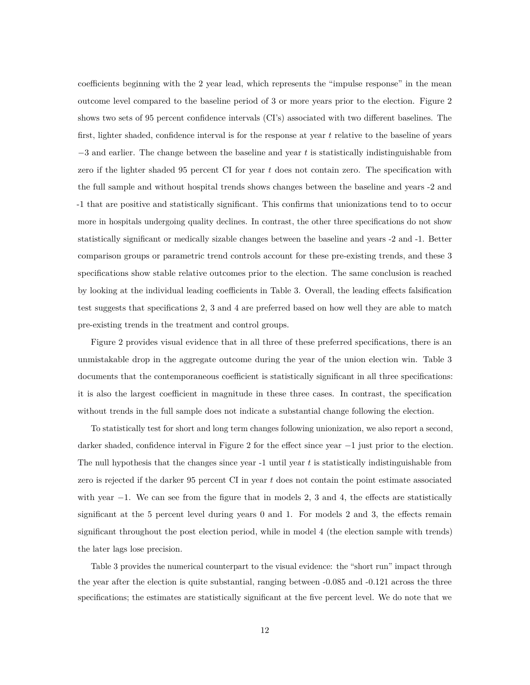coefficients beginning with the 2 year lead, which represents the "impulse response" in the mean outcome level compared to the baseline period of 3 or more years prior to the election. Figure 2 shows two sets of 95 percent confidence intervals (CI's) associated with two different baselines. The first, lighter shaded, confidence interval is for the response at year *t* relative to the baseline of years −3 and earlier. The change between the baseline and year *t* is statistically indistinguishable from zero if the lighter shaded 95 percent CI for year *t* does not contain zero. The specification with the full sample and without hospital trends shows changes between the baseline and years -2 and -1 that are positive and statistically significant. This confirms that unionizations tend to to occur more in hospitals undergoing quality declines. In contrast, the other three specifications do not show statistically significant or medically sizable changes between the baseline and years -2 and -1. Better comparison groups or parametric trend controls account for these pre-existing trends, and these 3 specifications show stable relative outcomes prior to the election. The same conclusion is reached by looking at the individual leading coefficients in Table 3. Overall, the leading effects falsification test suggests that specifications 2, 3 and 4 are preferred based on how well they are able to match pre-existing trends in the treatment and control groups.

Figure 2 provides visual evidence that in all three of these preferred specifications, there is an unmistakable drop in the aggregate outcome during the year of the union election win. Table 3 documents that the contemporaneous coefficient is statistically significant in all three specifications: it is also the largest coefficient in magnitude in these three cases. In contrast, the specification without trends in the full sample does not indicate a substantial change following the election.

To statistically test for short and long term changes following unionization, we also report a second, darker shaded, confidence interval in Figure 2 for the effect since year −1 just prior to the election. The null hypothesis that the changes since year -1 until year *t* is statistically indistinguishable from zero is rejected if the darker 95 percent CI in year *t* does not contain the point estimate associated with year  $-1$ . We can see from the figure that in models 2, 3 and 4, the effects are statistically significant at the 5 percent level during years 0 and 1. For models 2 and 3, the effects remain significant throughout the post election period, while in model 4 (the election sample with trends) the later lags lose precision.

Table 3 provides the numerical counterpart to the visual evidence: the "short run" impact through the year after the election is quite substantial, ranging between -0.085 and -0.121 across the three specifications; the estimates are statistically significant at the five percent level. We do note that we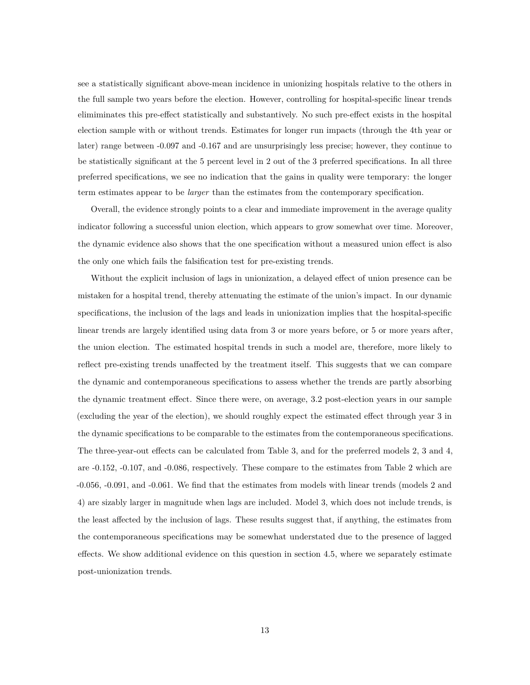see a statistically significant above-mean incidence in unionizing hospitals relative to the others in the full sample two years before the election. However, controlling for hospital-specific linear trends elimiminates this pre-effect statistically and substantively. No such pre-effect exists in the hospital election sample with or without trends. Estimates for longer run impacts (through the 4th year or later) range between -0.097 and -0.167 and are unsurprisingly less precise; however, they continue to be statistically significant at the 5 percent level in 2 out of the 3 preferred specifications. In all three preferred specifications, we see no indication that the gains in quality were temporary: the longer term estimates appear to be *larger* than the estimates from the contemporary specification.

Overall, the evidence strongly points to a clear and immediate improvement in the average quality indicator following a successful union election, which appears to grow somewhat over time. Moreover, the dynamic evidence also shows that the one specification without a measured union effect is also the only one which fails the falsification test for pre-existing trends.

Without the explicit inclusion of lags in unionization, a delayed effect of union presence can be mistaken for a hospital trend, thereby attenuating the estimate of the union's impact. In our dynamic specifications, the inclusion of the lags and leads in unionization implies that the hospital-specific linear trends are largely identified using data from 3 or more years before, or 5 or more years after, the union election. The estimated hospital trends in such a model are, therefore, more likely to reflect pre-existing trends unaffected by the treatment itself. This suggests that we can compare the dynamic and contemporaneous specifications to assess whether the trends are partly absorbing the dynamic treatment effect. Since there were, on average, 3.2 post-election years in our sample (excluding the year of the election), we should roughly expect the estimated effect through year 3 in the dynamic specifications to be comparable to the estimates from the contemporaneous specifications. The three-year-out effects can be calculated from Table 3, and for the preferred models 2, 3 and 4, are -0.152, -0.107, and -0.086, respectively. These compare to the estimates from Table 2 which are -0.056, -0.091, and -0.061. We find that the estimates from models with linear trends (models 2 and 4) are sizably larger in magnitude when lags are included. Model 3, which does not include trends, is the least affected by the inclusion of lags. These results suggest that, if anything, the estimates from the contemporaneous specifications may be somewhat understated due to the presence of lagged effects. We show additional evidence on this question in section 4.5, where we separately estimate post-unionization trends.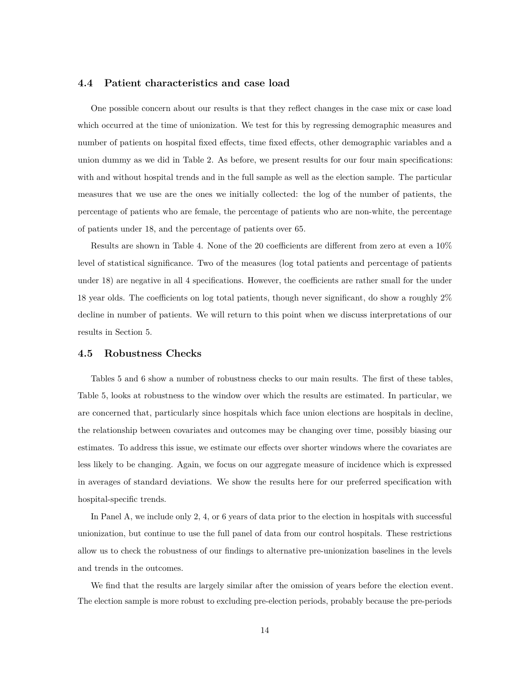#### **4.4 Patient characteristics and case load**

One possible concern about our results is that they reflect changes in the case mix or case load which occurred at the time of unionization. We test for this by regressing demographic measures and number of patients on hospital fixed effects, time fixed effects, other demographic variables and a union dummy as we did in Table 2. As before, we present results for our four main specifications: with and without hospital trends and in the full sample as well as the election sample. The particular measures that we use are the ones we initially collected: the log of the number of patients, the percentage of patients who are female, the percentage of patients who are non-white, the percentage of patients under 18, and the percentage of patients over 65.

Results are shown in Table 4. None of the 20 coefficients are different from zero at even a 10% level of statistical significance. Two of the measures (log total patients and percentage of patients under 18) are negative in all 4 specifications. However, the coefficients are rather small for the under 18 year olds. The coefficients on log total patients, though never significant, do show a roughly 2% decline in number of patients. We will return to this point when we discuss interpretations of our results in Section 5.

#### **4.5 Robustness Checks**

Tables 5 and 6 show a number of robustness checks to our main results. The first of these tables, Table 5, looks at robustness to the window over which the results are estimated. In particular, we are concerned that, particularly since hospitals which face union elections are hospitals in decline, the relationship between covariates and outcomes may be changing over time, possibly biasing our estimates. To address this issue, we estimate our effects over shorter windows where the covariates are less likely to be changing. Again, we focus on our aggregate measure of incidence which is expressed in averages of standard deviations. We show the results here for our preferred specification with hospital-specific trends.

In Panel A, we include only 2, 4, or 6 years of data prior to the election in hospitals with successful unionization, but continue to use the full panel of data from our control hospitals. These restrictions allow us to check the robustness of our findings to alternative pre-unionization baselines in the levels and trends in the outcomes.

We find that the results are largely similar after the omission of years before the election event. The election sample is more robust to excluding pre-election periods, probably because the pre-periods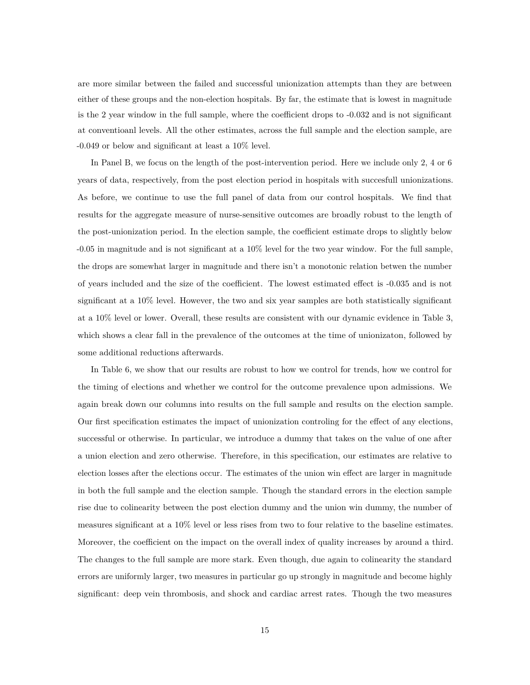are more similar between the failed and successful unionization attempts than they are between either of these groups and the non-election hospitals. By far, the estimate that is lowest in magnitude is the 2 year window in the full sample, where the coefficient drops to -0.032 and is not significant at conventioanl levels. All the other estimates, across the full sample and the election sample, are -0.049 or below and significant at least a 10% level.

In Panel B, we focus on the length of the post-intervention period. Here we include only 2, 4 or 6 years of data, respectively, from the post election period in hospitals with succesfull unionizations. As before, we continue to use the full panel of data from our control hospitals. We find that results for the aggregate measure of nurse-sensitive outcomes are broadly robust to the length of the post-unionization period. In the election sample, the coefficient estimate drops to slightly below -0.05 in magnitude and is not significant at a 10% level for the two year window. For the full sample, the drops are somewhat larger in magnitude and there isn't a monotonic relation betwen the number of years included and the size of the coefficient. The lowest estimated effect is -0.035 and is not significant at a 10% level. However, the two and six year samples are both statistically significant at a 10% level or lower. Overall, these results are consistent with our dynamic evidence in Table 3, which shows a clear fall in the prevalence of the outcomes at the time of unionizaton, followed by some additional reductions afterwards.

In Table 6, we show that our results are robust to how we control for trends, how we control for the timing of elections and whether we control for the outcome prevalence upon admissions. We again break down our columns into results on the full sample and results on the election sample. Our first specification estimates the impact of unionization controling for the effect of any elections, successful or otherwise. In particular, we introduce a dummy that takes on the value of one after a union election and zero otherwise. Therefore, in this specification, our estimates are relative to election losses after the elections occur. The estimates of the union win effect are larger in magnitude in both the full sample and the election sample. Though the standard errors in the election sample rise due to colinearity between the post election dummy and the union win dummy, the number of measures significant at a 10% level or less rises from two to four relative to the baseline estimates. Moreover, the coefficient on the impact on the overall index of quality increases by around a third. The changes to the full sample are more stark. Even though, due again to colinearity the standard errors are uniformly larger, two measures in particular go up strongly in magnitude and become highly significant: deep vein thrombosis, and shock and cardiac arrest rates. Though the two measures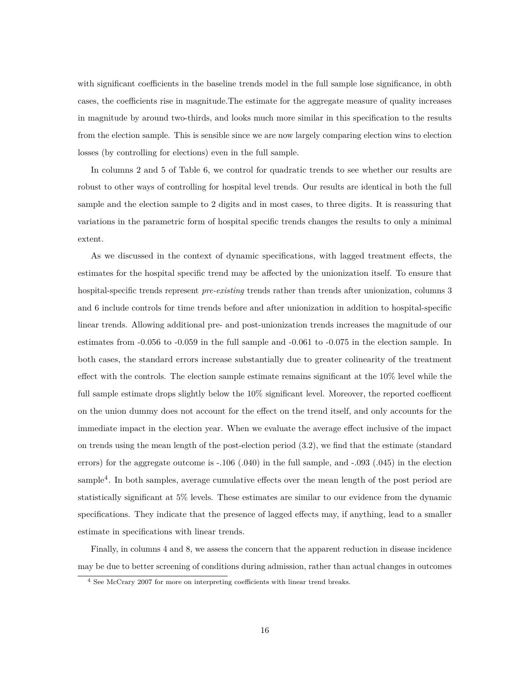with significant coefficients in the baseline trends model in the full sample lose significance, in obth cases, the coefficients rise in magnitude.The estimate for the aggregate measure of quality increases in magnitude by around two-thirds, and looks much more similar in this specification to the results from the election sample. This is sensible since we are now largely comparing election wins to election losses (by controlling for elections) even in the full sample.

In columns 2 and 5 of Table 6, we control for quadratic trends to see whether our results are robust to other ways of controlling for hospital level trends. Our results are identical in both the full sample and the election sample to 2 digits and in most cases, to three digits. It is reassuring that variations in the parametric form of hospital specific trends changes the results to only a minimal extent.

As we discussed in the context of dynamic specifications, with lagged treatment effects, the estimates for the hospital specific trend may be affected by the unionization itself. To ensure that hospital-specific trends represent *pre-existing* trends rather than trends after unionization, columns 3 and 6 include controls for time trends before and after unionization in addition to hospital-specific linear trends. Allowing additional pre- and post-unionization trends increases the magnitude of our estimates from -0.056 to -0.059 in the full sample and -0.061 to -0.075 in the election sample. In both cases, the standard errors increase substantially due to greater colinearity of the treatment effect with the controls. The election sample estimate remains significant at the 10% level while the full sample estimate drops slightly below the 10% significant level. Moreover, the reported coefficent on the union dummy does not account for the effect on the trend itself, and only accounts for the immediate impact in the election year. When we evaluate the average effect inclusive of the impact on trends using the mean length of the post-election period (3.2), we find that the estimate (standard errors) for the aggregate outcome is -.106 (.040) in the full sample, and -.093 (.045) in the election sample<sup>4</sup>. In both samples, average cumulative effects over the mean length of the post period are statistically significant at 5% levels. These estimates are similar to our evidence from the dynamic specifications. They indicate that the presence of lagged effects may, if anything, lead to a smaller estimate in specifications with linear trends.

Finally, in columns 4 and 8, we assess the concern that the apparent reduction in disease incidence may be due to better screening of conditions during admission, rather than actual changes in outcomes

<sup>4</sup> See McCrary 2007 for more on interpreting coefficients with linear trend breaks.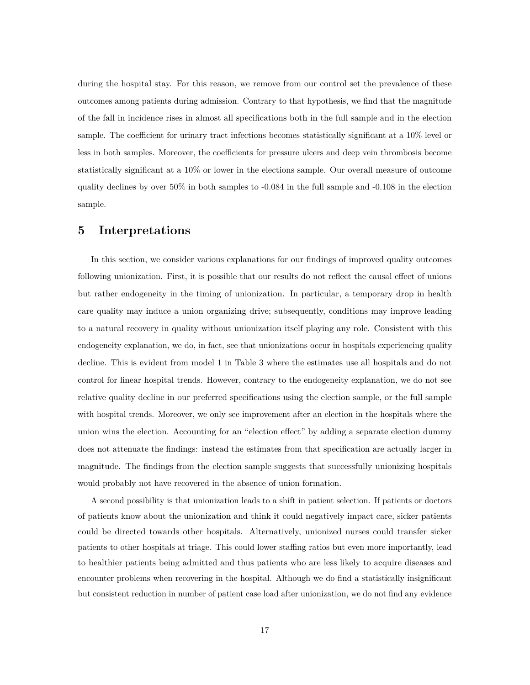during the hospital stay. For this reason, we remove from our control set the prevalence of these outcomes among patients during admission. Contrary to that hypothesis, we find that the magnitude of the fall in incidence rises in almost all specifications both in the full sample and in the election sample. The coefficient for urinary tract infections becomes statistically significant at a 10% level or less in both samples. Moreover, the coefficients for pressure ulcers and deep vein thrombosis become statistically significant at a 10% or lower in the elections sample. Our overall measure of outcome quality declines by over 50% in both samples to -0.084 in the full sample and -0.108 in the election sample.

#### **5 Interpretations**

In this section, we consider various explanations for our findings of improved quality outcomes following unionization. First, it is possible that our results do not reflect the causal effect of unions but rather endogeneity in the timing of unionization. In particular, a temporary drop in health care quality may induce a union organizing drive; subsequently, conditions may improve leading to a natural recovery in quality without unionization itself playing any role. Consistent with this endogeneity explanation, we do, in fact, see that unionizations occur in hospitals experiencing quality decline. This is evident from model 1 in Table 3 where the estimates use all hospitals and do not control for linear hospital trends. However, contrary to the endogeneity explanation, we do not see relative quality decline in our preferred specifications using the election sample, or the full sample with hospital trends. Moreover, we only see improvement after an election in the hospitals where the union wins the election. Accounting for an "election effect" by adding a separate election dummy does not attenuate the findings: instead the estimates from that specification are actually larger in magnitude. The findings from the election sample suggests that successfully unionizing hospitals would probably not have recovered in the absence of union formation.

A second possibility is that unionization leads to a shift in patient selection. If patients or doctors of patients know about the unionization and think it could negatively impact care, sicker patients could be directed towards other hospitals. Alternatively, unionized nurses could transfer sicker patients to other hospitals at triage. This could lower staffing ratios but even more importantly, lead to healthier patients being admitted and thus patients who are less likely to acquire diseases and encounter problems when recovering in the hospital. Although we do find a statistically insignificant but consistent reduction in number of patient case load after unionization, we do not find any evidence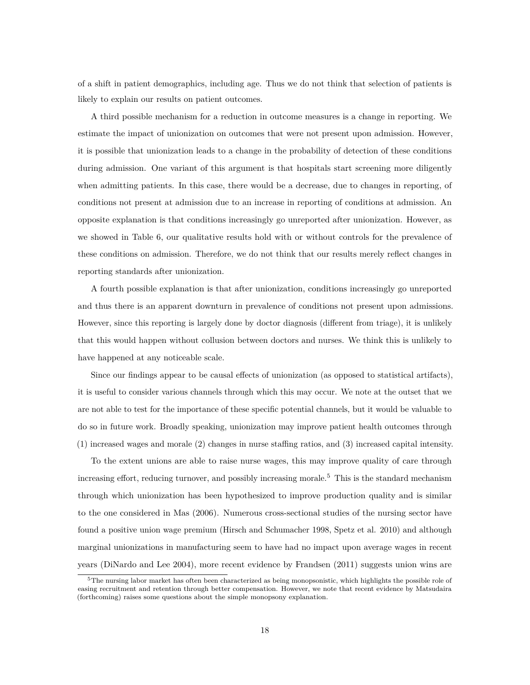of a shift in patient demographics, including age. Thus we do not think that selection of patients is likely to explain our results on patient outcomes.

A third possible mechanism for a reduction in outcome measures is a change in reporting. We estimate the impact of unionization on outcomes that were not present upon admission. However, it is possible that unionization leads to a change in the probability of detection of these conditions during admission. One variant of this argument is that hospitals start screening more diligently when admitting patients. In this case, there would be a decrease, due to changes in reporting, of conditions not present at admission due to an increase in reporting of conditions at admission. An opposite explanation is that conditions increasingly go unreported after unionization. However, as we showed in Table 6, our qualitative results hold with or without controls for the prevalence of these conditions on admission. Therefore, we do not think that our results merely reflect changes in reporting standards after unionization.

A fourth possible explanation is that after unionization, conditions increasingly go unreported and thus there is an apparent downturn in prevalence of conditions not present upon admissions. However, since this reporting is largely done by doctor diagnosis (different from triage), it is unlikely that this would happen without collusion between doctors and nurses. We think this is unlikely to have happened at any noticeable scale.

Since our findings appear to be causal effects of unionization (as opposed to statistical artifacts), it is useful to consider various channels through which this may occur. We note at the outset that we are not able to test for the importance of these specific potential channels, but it would be valuable to do so in future work. Broadly speaking, unionization may improve patient health outcomes through (1) increased wages and morale (2) changes in nurse staffing ratios, and (3) increased capital intensity.

To the extent unions are able to raise nurse wages, this may improve quality of care through increasing effort, reducing turnover, and possibly increasing morale.<sup>5</sup> This is the standard mechanism through which unionization has been hypothesized to improve production quality and is similar to the one considered in Mas (2006). Numerous cross-sectional studies of the nursing sector have found a positive union wage premium (Hirsch and Schumacher 1998, Spetz et al. 2010) and although marginal unionizations in manufacturing seem to have had no impact upon average wages in recent years (DiNardo and Lee 2004), more recent evidence by Frandsen (2011) suggests union wins are

 $5$ The nursing labor market has often been characterized as being monopsonistic, which highlights the possible role of easing recruitment and retention through better compensation. However, we note that recent evidence by Matsudaira (forthcoming) raises some questions about the simple monopsony explanation.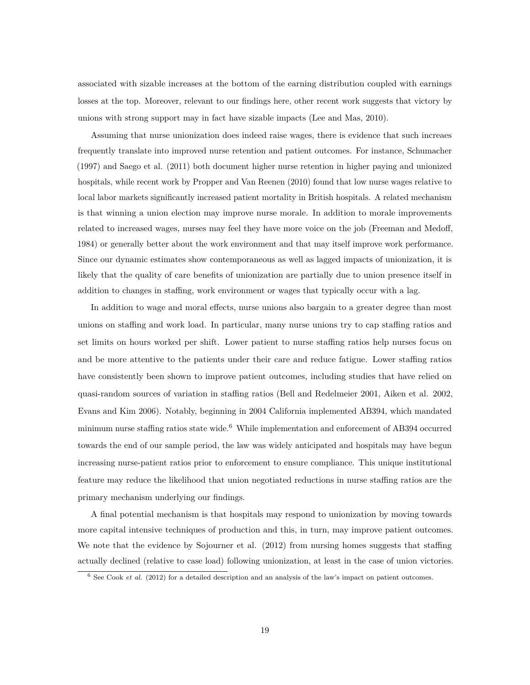associated with sizable increases at the bottom of the earning distribution coupled with earnings losses at the top. Moreover, relevant to our findings here, other recent work suggests that victory by unions with strong support may in fact have sizable impacts (Lee and Mas, 2010).

Assuming that nurse unionization does indeed raise wages, there is evidence that such increaes frequently translate into improved nurse retention and patient outcomes. For instance, Schumacher (1997) and Saego et al. (2011) both document higher nurse retention in higher paying and unionized hospitals, while recent work by Propper and Van Reenen (2010) found that low nurse wages relative to local labor markets significantly increased patient mortality in British hospitals. A related mechanism is that winning a union election may improve nurse morale. In addition to morale improvements related to increased wages, nurses may feel they have more voice on the job (Freeman and Medoff, 1984) or generally better about the work environment and that may itself improve work performance. Since our dynamic estimates show contemporaneous as well as lagged impacts of unionization, it is likely that the quality of care benefits of unionization are partially due to union presence itself in addition to changes in staffing, work environment or wages that typically occur with a lag.

In addition to wage and moral effects, nurse unions also bargain to a greater degree than most unions on staffing and work load. In particular, many nurse unions try to cap staffing ratios and set limits on hours worked per shift. Lower patient to nurse staffing ratios help nurses focus on and be more attentive to the patients under their care and reduce fatigue. Lower staffing ratios have consistently been shown to improve patient outcomes, including studies that have relied on quasi-random sources of variation in staffing ratios (Bell and Redelmeier 2001, Aiken et al. 2002, Evans and Kim 2006). Notably, beginning in 2004 California implemented AB394, which mandated minimum nurse staffing ratios state wide.<sup>6</sup> While implementation and enforcement of AB394 occurred towards the end of our sample period, the law was widely anticipated and hospitals may have begun increasing nurse-patient ratios prior to enforcement to ensure compliance. This unique institutional feature may reduce the likelihood that union negotiated reductions in nurse staffing ratios are the primary mechanism underlying our findings.

A final potential mechanism is that hospitals may respond to unionization by moving towards more capital intensive techniques of production and this, in turn, may improve patient outcomes. We note that the evidence by Sojourner et al. (2012) from nursing homes suggests that staffing actually declined (relative to case load) following unionization, at least in the case of union victories.

<sup>&</sup>lt;sup>6</sup> See Cook *et al.* (2012) for a detailed description and an analysis of the law's impact on patient outcomes.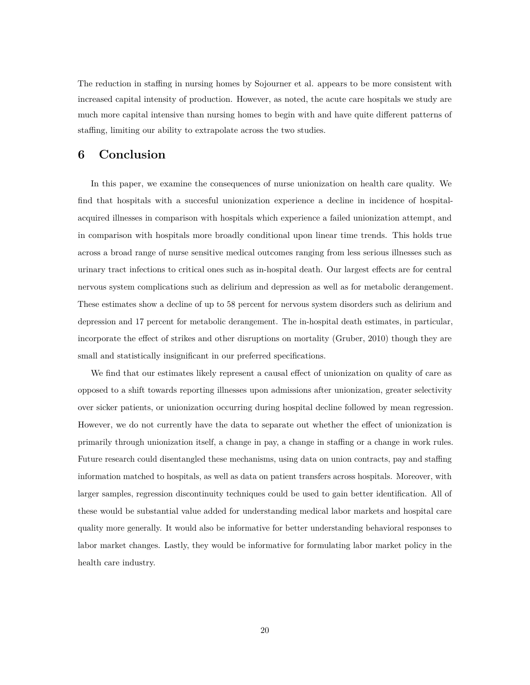The reduction in staffing in nursing homes by Sojourner et al. appears to be more consistent with increased capital intensity of production. However, as noted, the acute care hospitals we study are much more capital intensive than nursing homes to begin with and have quite different patterns of staffing, limiting our ability to extrapolate across the two studies.

#### **6 Conclusion**

In this paper, we examine the consequences of nurse unionization on health care quality. We find that hospitals with a succesful unionization experience a decline in incidence of hospitalacquired illnesses in comparison with hospitals which experience a failed unionization attempt, and in comparison with hospitals more broadly conditional upon linear time trends. This holds true across a broad range of nurse sensitive medical outcomes ranging from less serious illnesses such as urinary tract infections to critical ones such as in-hospital death. Our largest effects are for central nervous system complications such as delirium and depression as well as for metabolic derangement. These estimates show a decline of up to 58 percent for nervous system disorders such as delirium and depression and 17 percent for metabolic derangement. The in-hospital death estimates, in particular, incorporate the effect of strikes and other disruptions on mortality (Gruber, 2010) though they are small and statistically insignificant in our preferred specifications.

We find that our estimates likely represent a causal effect of unionization on quality of care as opposed to a shift towards reporting illnesses upon admissions after unionization, greater selectivity over sicker patients, or unionization occurring during hospital decline followed by mean regression. However, we do not currently have the data to separate out whether the effect of unionization is primarily through unionization itself, a change in pay, a change in staffing or a change in work rules. Future research could disentangled these mechanisms, using data on union contracts, pay and staffing information matched to hospitals, as well as data on patient transfers across hospitals. Moreover, with larger samples, regression discontinuity techniques could be used to gain better identification. All of these would be substantial value added for understanding medical labor markets and hospital care quality more generally. It would also be informative for better understanding behavioral responses to labor market changes. Lastly, they would be informative for formulating labor market policy in the health care industry.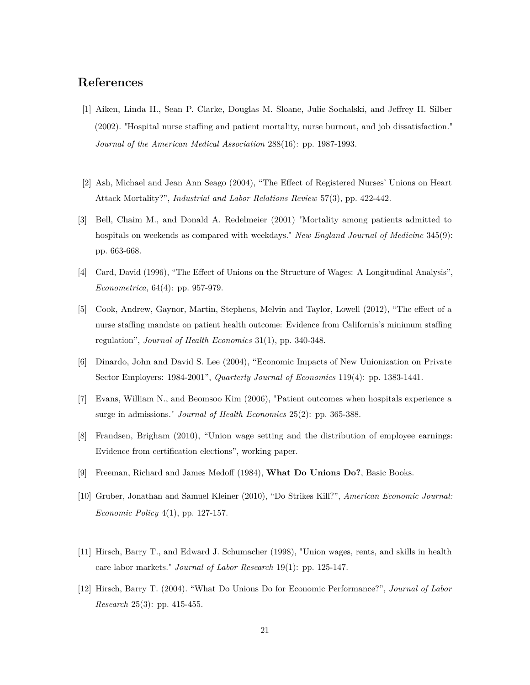### **References**

- [1] Aiken, Linda H., Sean P. Clarke, Douglas M. Sloane, Julie Sochalski, and Jeffrey H. Silber (2002). "Hospital nurse staffing and patient mortality, nurse burnout, and job dissatisfaction." *Journal of the American Medical Association* 288(16): pp. 1987-1993.
- [2] Ash, Michael and Jean Ann Seago (2004), "The Effect of Registered Nurses' Unions on Heart Attack Mortality?", *Industrial and Labor Relations Review* 57(3), pp. 422-442.
- [3] Bell, Chaim M., and Donald A. Redelmeier (2001) "Mortality among patients admitted to hospitals on weekends as compared with weekdays." *New England Journal of Medicine* 345(9): pp. 663-668.
- [4] Card, David (1996), "The Effect of Unions on the Structure of Wages: A Longitudinal Analysis", *Econometrica*, 64(4): pp. 957-979.
- [5] Cook, Andrew, Gaynor, Martin, Stephens, Melvin and Taylor, Lowell (2012), "The effect of a nurse staffing mandate on patient health outcome: Evidence from California's minimum staffing regulation", *Journal of Health Economics* 31(1), pp. 340-348.
- [6] Dinardo, John and David S. Lee (2004), "Economic Impacts of New Unionization on Private Sector Employers: 1984-2001", *Quarterly Journal of Economics* 119(4): pp. 1383-1441.
- [7] Evans, William N., and Beomsoo Kim (2006), "Patient outcomes when hospitals experience a surge in admissions." *Journal of Health Economics* 25(2): pp. 365-388.
- [8] Frandsen, Brigham (2010), "Union wage setting and the distribution of employee earnings: Evidence from certification elections", working paper.
- [9] Freeman, Richard and James Medoff (1984), **What Do Unions Do?**, Basic Books.
- [10] Gruber, Jonathan and Samuel Kleiner (2010), "Do Strikes Kill?", *American Economic Journal: Economic Policy* 4(1), pp. 127-157.
- [11] Hirsch, Barry T., and Edward J. Schumacher (1998), "Union wages, rents, and skills in health care labor markets." *Journal of Labor Research* 19(1): pp. 125-147.
- [12] Hirsch, Barry T. (2004). "What Do Unions Do for Economic Performance?", *Journal of Labor Research* 25(3): pp. 415-455.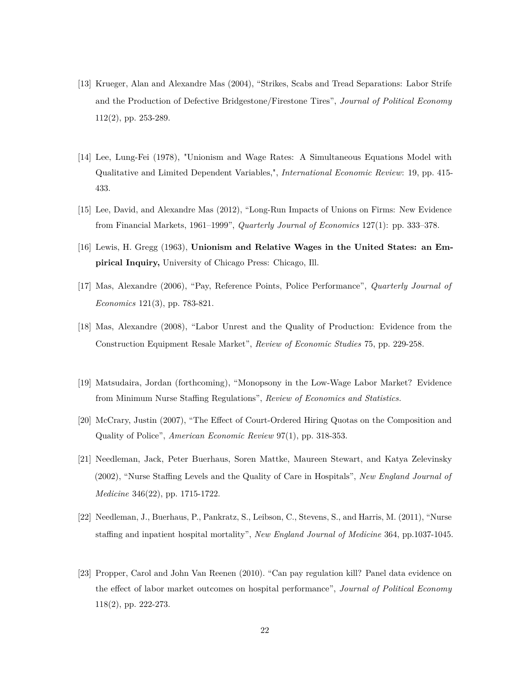- [13] Krueger, Alan and Alexandre Mas (2004), "Strikes, Scabs and Tread Separations: Labor Strife and the Production of Defective Bridgestone/Firestone Tires", *Journal of Political Economy* 112(2), pp. 253-289.
- [14] Lee, Lung-Fei (1978), "Unionism and Wage Rates: A Simultaneous Equations Model with Qualitative and Limited Dependent Variables,", *International Economic Review*: 19, pp. 415- 433.
- [15] Lee, David, and Alexandre Mas (2012), "Long-Run Impacts of Unions on Firms: New Evidence from Financial Markets, 1961–1999", *Quarterly Journal of Economics* 127(1): pp. 333–378.
- [16] Lewis, H. Gregg (1963), **Unionism and Relative Wages in the United States: an Empirical Inquiry,** University of Chicago Press: Chicago, Ill.
- [17] Mas, Alexandre (2006), "Pay, Reference Points, Police Performance", *Quarterly Journal of Economics* 121(3), pp. 783-821.
- [18] Mas, Alexandre (2008), "Labor Unrest and the Quality of Production: Evidence from the Construction Equipment Resale Market", *Review of Economic Studies* 75, pp. 229-258.
- [19] Matsudaira, Jordan (forthcoming), "Monopsony in the Low-Wage Labor Market? Evidence from Minimum Nurse Staffing Regulations", *Review of Economics and Statistics.*
- [20] McCrary, Justin (2007), "The Effect of Court-Ordered Hiring Quotas on the Composition and Quality of Police", *American Economic Review* 97(1), pp. 318-353.
- [21] Needleman, Jack, Peter Buerhaus, Soren Mattke, Maureen Stewart, and Katya Zelevinsky (2002), "Nurse Staffing Levels and the Quality of Care in Hospitals", *New England Journal of Medicine* 346(22), pp. 1715-1722.
- [22] Needleman, J., Buerhaus, P., Pankratz, S., Leibson, C., Stevens, S., and Harris, M. (2011), "Nurse staffing and inpatient hospital mortality", *New England Journal of Medicine* 364, pp.1037-1045.
- [23] Propper, Carol and John Van Reenen (2010). "Can pay regulation kill? Panel data evidence on the effect of labor market outcomes on hospital performance", *Journal of Political Economy* 118(2), pp. 222-273.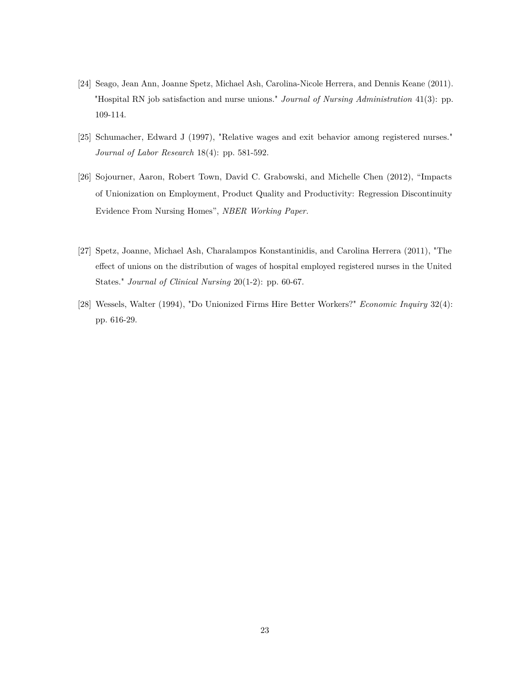- [24] Seago, Jean Ann, Joanne Spetz, Michael Ash, Carolina-Nicole Herrera, and Dennis Keane (2011). "Hospital RN job satisfaction and nurse unions." *Journal of Nursing Administration* 41(3): pp. 109-114.
- [25] Schumacher, Edward J (1997), "Relative wages and exit behavior among registered nurses." *Journal of Labor Research* 18(4): pp. 581-592.
- [26] Sojourner, Aaron, Robert Town, David C. Grabowski, and Michelle Chen (2012), "Impacts of Unionization on Employment, Product Quality and Productivity: Regression Discontinuity Evidence From Nursing Homes", *NBER Working Paper.*
- [27] Spetz, Joanne, Michael Ash, Charalampos Konstantinidis, and Carolina Herrera (2011), "The effect of unions on the distribution of wages of hospital employed registered nurses in the United States." *Journal of Clinical Nursing* 20(1-2): pp. 60-67.
- [28] Wessels, Walter (1994), "Do Unionized Firms Hire Better Workers?" *Economic Inquiry* 32(4): pp. 616-29.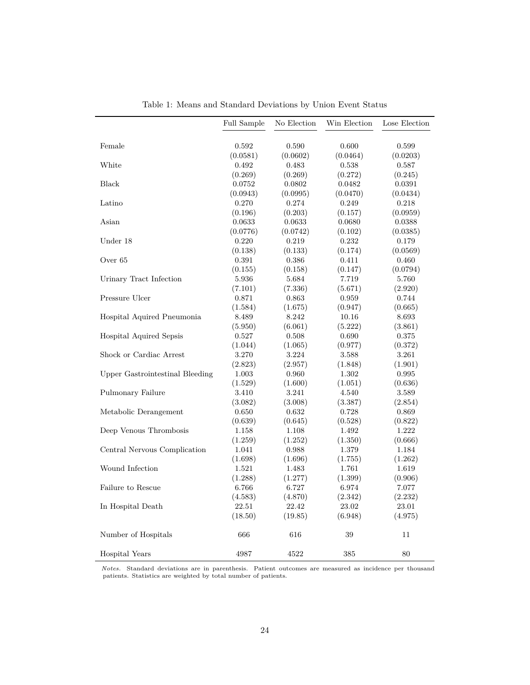|                                 | <b>Full Sample</b> | No Election | Win Election | Lose Election |
|---------------------------------|--------------------|-------------|--------------|---------------|
|                                 |                    |             |              |               |
| Female                          | 0.592              | 0.590       | 0.600        | 0.599         |
|                                 | (0.0581)           | (0.0602)    | (0.0464)     | (0.0203)      |
| White                           | 0.492              | 0.483       | 0.538        | 0.587         |
|                                 | (0.269)            | (0.269)     | (0.272)      | (0.245)       |
| <b>Black</b>                    | 0.0752             | 0.0802      | 0.0482       | 0.0391        |
|                                 | (0.0943)           | (0.0995)    | (0.0470)     | (0.0434)      |
| Latino                          | 0.270              | 0.274       | 0.249        | 0.218         |
|                                 | (0.196)            | (0.203)     | (0.157)      | (0.0959)      |
| Asian                           | 0.0633             | 0.0633      | 0.0680       | 0.0388        |
|                                 | (0.0776)           | (0.0742)    | (0.102)      | (0.0385)      |
| Under 18                        | 0.220              | 0.219       | 0.232        | 0.179         |
|                                 | (0.138)            | (0.133)     | (0.174)      | (0.0569)      |
| Over 65                         | 0.391              | 0.386       | 0.411        | 0.460         |
|                                 | (0.155)            | (0.158)     | (0.147)      | (0.0794)      |
| Urinary Tract Infection         | 5.936              | 5.684       | 7.719        | 5.760         |
|                                 | (7.101)            | (7.336)     | (5.671)      | (2.920)       |
| Pressure Ulcer                  | 0.871              | 0.863       | 0.959        | 0.744         |
|                                 | (1.584)            | (1.675)     | (0.947)      | (0.665)       |
| Hospital Aquired Pneumonia      | 8.489              | 8.242       | 10.16        | 8.693         |
|                                 | (5.950)            | (6.061)     | (5.222)      | (3.861)       |
| Hospital Aquired Sepsis         | 0.527              | 0.508       | 0.690        | 0.375         |
|                                 | (1.044)            | (1.065)     | (0.977)      | (0.372)       |
| Shock or Cardiac Arrest         | 3.270              | 3.224       | 3.588        | 3.261         |
|                                 | (2.823)            | (2.957)     | (1.848)      | (1.901)       |
| Upper Gastrointestinal Bleeding | 1.003              | 0.960       | 1.302        | 0.995         |
|                                 | (1.529)            | (1.600)     | (1.051)      | (0.636)       |
| Pulmonary Failure               | 3.410              | 3.241       | 4.540        | 3.589         |
|                                 | (3.082)            | (3.008)     | (3.387)      | (2.854)       |
| Metabolic Derangement           | 0.650              | 0.632       | 0.728        | 0.869         |
|                                 | (0.639)            | (0.645)     | (0.528)      | (0.822)       |
| Deep Venous Thrombosis          | 1.158              | 1.108       | 1.492        | 1.222         |
|                                 | (1.259)            | (1.252)     | (1.350)      | (0.666)       |
| Central Nervous Complication    | 1.041              | 0.988       | 1.379        | 1.184         |
|                                 | (1.698)            | (1.696)     | (1.755)      | (1.262)       |
| Wound Infection                 | 1.521              | 1.483       | 1.761        | 1.619         |
|                                 | (1.288)            | (1.277)     | (1.399)      | (0.906)       |
| Failure to Rescue               | 6.766              | 6.727       | 6.974        | 7.077         |
|                                 | (4.583)            | (4.870)     | (2.342)      | (2.232)       |
| In Hospital Death               | 22.51              | 22.42       | 23.02        | 23.01         |
|                                 | (18.50)            | (19.85)     | (6.948)      | (4.975)       |
|                                 |                    |             |              |               |
| Number of Hospitals             | 666                | 616         | 39           | 11            |
| Hospital Years                  | 4987               | 4522        | 385          | 80            |

|  |  | Table 1: Means and Standard Deviations by Union Event Status |  |  |
|--|--|--------------------------------------------------------------|--|--|

*Notes.* Standard deviations are in parenthesis. Patient outcomes are measured as incidence per thousand patients. Statistics are weighted by total number of patients.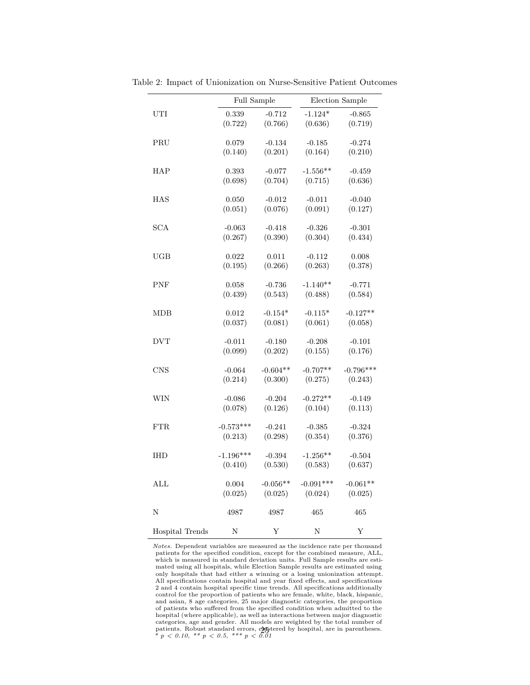|                 |             | Full Sample |             | Election Sample |  |  |
|-----------------|-------------|-------------|-------------|-----------------|--|--|
| UTI             | 0.339       | $-0.712$    | $-1.124*$   | $-0.865$        |  |  |
|                 | (0.722)     | (0.766)     | (0.636)     | (0.719)         |  |  |
|                 |             |             |             |                 |  |  |
| PRU             | 0.079       | $-0.134$    | $-0.185$    | $-0.274$        |  |  |
|                 | (0.140)     | (0.201)     | (0.164)     | (0.210)         |  |  |
|                 |             |             |             |                 |  |  |
| HAP             | 0.393       | $-0.077$    | $-1.556**$  | $-0.459$        |  |  |
|                 | (0.698)     | (0.704)     | (0.715)     | (0.636)         |  |  |
| HAS             | 0.050       | $-0.012$    | $-0.011$    | $-0.040$        |  |  |
|                 | (0.051)     | (0.076)     | (0.091)     | (0.127)         |  |  |
|                 |             |             |             |                 |  |  |
| SCA             | $-0.063$    | $-0.418$    | $-0.326$    | $-0.301$        |  |  |
|                 | (0.267)     | (0.390)     | (0.304)     | (0.434)         |  |  |
| $_{\rm UGB}$    | 0.022       | 0.011       | $-0.112$    | 0.008           |  |  |
|                 | (0.195)     | (0.266)     | (0.263)     | (0.378)         |  |  |
|                 |             |             |             |                 |  |  |
| <b>PNF</b>      | 0.058       | $-0.736$    | $-1.140**$  | $-0.771$        |  |  |
|                 | (0.439)     | (0.543)     | (0.488)     | (0.584)         |  |  |
|                 |             |             |             |                 |  |  |
| <b>MDB</b>      | 0.012       | $-0.154*$   | $-0.115*$   | $-0.127**$      |  |  |
|                 | (0.037)     | (0.081)     | (0.061)     | (0.058)         |  |  |
| <b>DVT</b>      | $-0.011$    | $-0.180$    | $-0.208$    | $-0.101$        |  |  |
|                 | (0.099)     | (0.202)     | (0.155)     | (0.176)         |  |  |
|                 |             |             |             |                 |  |  |
| $\mathrm{CNS}$  | $-0.064$    | $-0.604**$  | $-0.707**$  | $-0.796***$     |  |  |
|                 | (0.214)     | (0.300)     | (0.275)     | (0.243)         |  |  |
| WIN             | $-0.086$    | $-0.204$    | $-0.272**$  | $-0.149$        |  |  |
|                 | (0.078)     | (0.126)     | (0.104)     | (0.113)         |  |  |
|                 |             |             |             |                 |  |  |
| <b>FTR</b>      | $-0.573***$ | $-0.241$    | $-0.385$    | $-0.324$        |  |  |
|                 | (0.213)     | (0.298)     | (0.354)     | (0.376)         |  |  |
|                 |             |             |             |                 |  |  |
| <b>IHD</b>      | $-1.196***$ | $-0.394$    | $-1.256**$  | $-0.504$        |  |  |
|                 | (0.410)     | (0.530)     | (0.583)     | (0.637)         |  |  |
| ALL             | 0.004       | $-0.056**$  | $-0.091***$ | $-0.061**$      |  |  |
|                 | (0.025)     | (0.025)     | (0.024)     | (0.025)         |  |  |
|                 |             |             |             |                 |  |  |
| N               | 4987        | 4987        | 465         | 465             |  |  |
|                 |             |             |             |                 |  |  |
| Hospital Trends | Ν           | Υ           | Ν           | Υ               |  |  |

Table 2: Impact of Unionization on Nurse-Sensitive Patient Outcomes

*Notes.* Dependent variables are measured as the incidence rate per thousand patients for the specified condition, except for the combined measure, ALL, which is measured in standard deviation units. Full Sample results are estimated using all hospitals, while Election Sample results are estimated using only hospitals that had either a winning or a losing unionization attempt. All specifications contain hospital and year fixed effects, and specifications 2 and 4 contain hospital specific time trends. All specifications additionally control for the proportion of patients who are female, white, black, hispanic, and asian, 8 age categories, 25 major diagnostic categories, the proportion of patients who suffered from the specified condition when admitted to the hospital (where applicable), as well as interactions between major diagnostic<br>categories, age and gender. All models are weighted by the total number of<br>patients. Robust standard errors,  $\mathcal{O}_{\mathbf{M}}$  figureed by hospita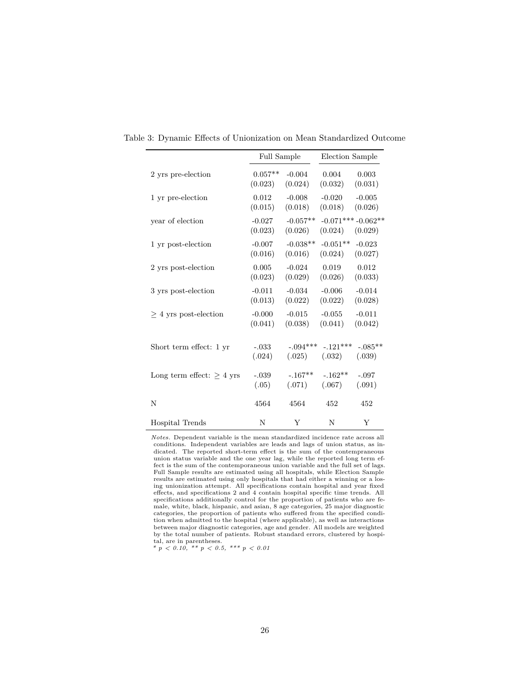|                             | Full Sample         |                       | Election Sample |                                |  |
|-----------------------------|---------------------|-----------------------|-----------------|--------------------------------|--|
| 2 yrs pre-election          | $0.057**$           | $-0.004$              | 0.004           | 0.003                          |  |
|                             | (0.023)             | (0.024)               | (0.032)         | (0.031)                        |  |
| 1 yr pre-election           | 0.012               | $-0.008$              | $-0.020$        | $-0.005$                       |  |
|                             | (0.015)             | (0.018)               | (0.018)         | (0.026)                        |  |
| year of election            | $-0.027$<br>(0.023) | $-0.057**$<br>(0.026) | (0.024)         | $-0.071***-0.062**$<br>(0.029) |  |
| 1 yr post-election          | $-0.007$            | $-0.038**$            | $-0.051**$      | $-0.023$                       |  |
|                             | (0.016)             | (0.016)               | (0.024)         | (0.027)                        |  |
| 2 yrs post-election         | 0.005               | $-0.024$              | 0.019           | 0.012                          |  |
|                             | (0.023)             | (0.029)               | (0.026)         | (0.033)                        |  |
| 3 yrs post-election         | $-0.011$            | $-0.034$              | $-0.006$        | $-0.014$                       |  |
|                             | (0.013)             | (0.022)               | (0.022)         | (0.028)                        |  |
| $>$ 4 yrs post-election     | $-0.000$            | $-0.015$              | $-0.055$        | $-0.011$                       |  |
|                             | (0.041)             | (0.038)               | (0.041)         | (0.042)                        |  |
| Short term effect: 1 yr     | $-.033$             | $-.094***$            | $-.121***$      | $-.085**$                      |  |
|                             | (.024)              | (.025)                | (.032)          | (.039)                         |  |
| Long term effect: $> 4$ yrs | $-.039$             | $-.167**$             | $-.162**$       | $-.097$                        |  |
|                             | (.05)               | (.071)                | (.067)          | (.091)                         |  |
| N                           | 4564                | 4564                  | 452             | 452                            |  |
| Hospital Trends             | N                   | Y                     | N               | Y                              |  |

Table 3: Dynamic Effects of Unionization on Mean Standardized Outcome

*Notes.* Dependent variable is the mean standardized incidence rate across all conditions. Independent variables are leads and lags of union status, as indicated. The reported short-term effect is the sum of the contempraneous union status variable and the one year lag, while the reported long term effect is the sum of the contemporaneous union variable and the full set of lags. Full Sample results are estimated using all hospitals, while Election Sample results are estimated using only hospitals that had either a winning or a losing unionization attempt. All specifications contain hospital and year fixed effects, and specifications 2 and 4 contain hospital specific time trends. All specifications additionally control for the proportion of patients who are female, white, black, hispanic, and asian, 8 age categories, 25 major diagnostic categories, the proportion of patients who suffered from the specified condition when admitted to the hospital (where applicable), as well as interactions between major diagnostic categories, age and gender. All models are weighted by the total number of patients. Robust standard errors, clustered by hospital, are in parentheses.

*\* p < 0.10, \*\* p < 0.5, \*\*\* p < 0.01*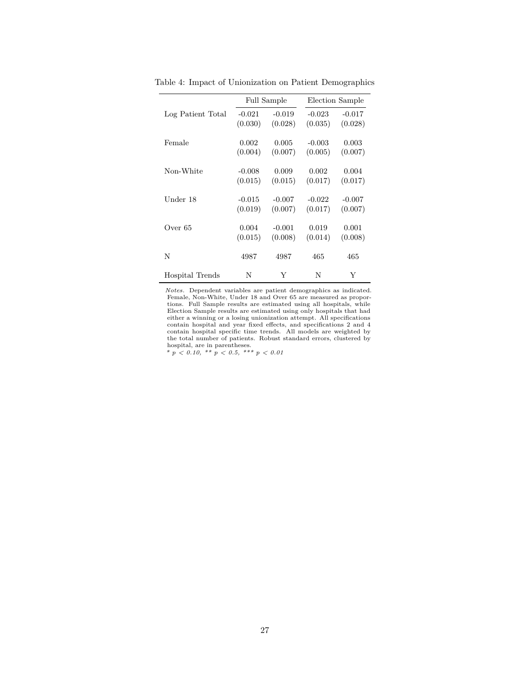|                   |          | <b>Full Sample</b> | Election Sample |          |  |
|-------------------|----------|--------------------|-----------------|----------|--|
| Log Patient Total | $-0.021$ | $-0.019$           | $-0.023$        | $-0.017$ |  |
|                   | (0.030)  | (0.028)            | (0.035)         | (0.028)  |  |
| Female            | 0.002    | 0.005              | $-0.003$        | 0.003    |  |
|                   | (0.004)  | (0.007)            | (0.005)         | (0.007)  |  |
| Non-White         | $-0.008$ | 0.009              | 0.002           | 0.004    |  |
|                   | (0.015)  | (0.015)            | (0.017)         | (0.017)  |  |
| Under 18          | $-0.015$ | $-0.007$           | $-0.022$        | $-0.007$ |  |
|                   | (0.019)  | (0.007)            | (0.017)         | (0.007)  |  |
| Over 65           | 0.004    | $-0.001$           | 0.019           | 0.001    |  |
|                   | (0.015)  | (0.008)            | (0.014)         | (0.008)  |  |
| N                 | 4987     | 4987               | 465             | 465      |  |
| Hospital Trends   | N        | Y                  | N               | Y        |  |

Table 4: Impact of Unionization on Patient Demographics

*Notes.* Dependent variables are patient demographics as indicated. Female, Non-White, Under 18 and Over 65 are measured as proportions. Full Sample results are estimated using all hospitals, while Election Sample results are estimated using only hospitals that had either a winning or a losing unionization attempt. All specifications contain hospital and year fixed effects, and specifications 2 and 4 contain hospital specific time trends. All models are weighted by the total number of patients. Robust standard errors, clustered by

hospital, are in parentheses. *\* p < 0.10, \*\* p < 0.5, \*\*\* p < 0.01*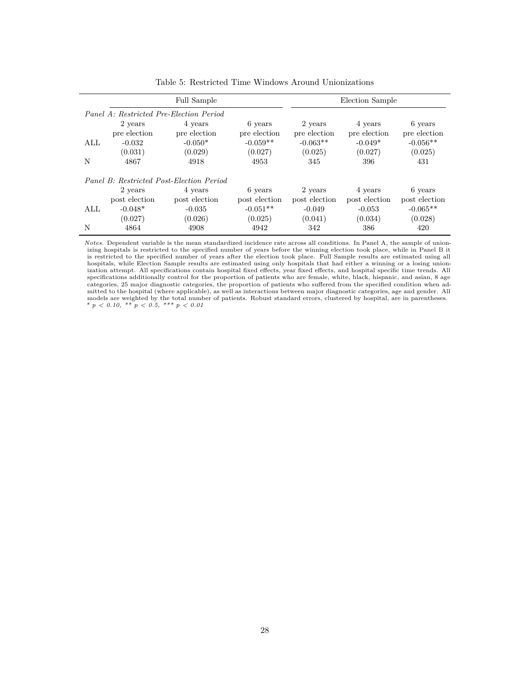|      |               | Full Sample                              |               |               | Election Sample |               |
|------|---------------|------------------------------------------|---------------|---------------|-----------------|---------------|
|      |               | Panel A: Restricted Pre-Election Period  |               |               |                 |               |
|      | 2 years       | 4 years                                  | 6 years       | 2 years       | 4 years         | 6 years       |
|      | pre election  | pre election                             | pre election  | pre election  | pre election    | pre election  |
| ALL. | $-0.032$      | $-0.050*$                                | $-0.059**$    | $-0.063**$    | $-0.049*$       | $-0.056**$    |
|      | (0.031)       | (0.029)                                  | (0.027)       | (0.025)       | (0.027)         | (0.025)       |
| N    | 4867          | 4918                                     | 4953          | 345           | 396             | 431           |
|      |               | Panel B: Restricted Post-Election Period |               |               |                 |               |
|      | 2 years       | 4 years                                  | 6 years       | 2 years       | 4 years         | 6 years       |
|      | post election | post election                            | post election | post election | post election   | post election |
| ALL  | $-0.048*$     | $-0.035$                                 | $-0.051**$    | $-0.049$      | $-0.053$        | $-0.065**$    |
|      | (0.027)       | (0.026)                                  | (0.025)       | (0.041)       | (0.034)         | (0.028)       |
| N    | 4864          | 4908                                     | 4942          | 342           | 386             | 420           |

Table 5: Restricted Time Windows Around Unionizations

*Notes.* Dependent variable is the mean standardized incidence rate across all conditions. In Panel A, the sample of unionizing hospitals is restricted to the specified number of years before the winning election took place, while in Panel B it is restricted to the specified number of years after the election took place. Full Sample results are estimated using all hospitals, while Election Sample results are estimated using only hospitals that had either a winning or a losing unionization attempt. All specifications contain hospital fixed effects, year fixed effects, and hospital specific time trends. All specifications additionally control for the proportion of patients who are female, white, black, hispanic, and asian, 8 age categories, 25 major diagnostic categories, the proportion of patients who suffered from the specified condition when admitted to the hospital (where applicable), as well as interactions between major diagnostic categories, age and gender. All models are weighted by the total number of patients. Robust standard errors, clustered by hospital, are in parentheses.<br>*\* p < 0.10, \*\* p < 0.5, \*\*\* p < 0.01*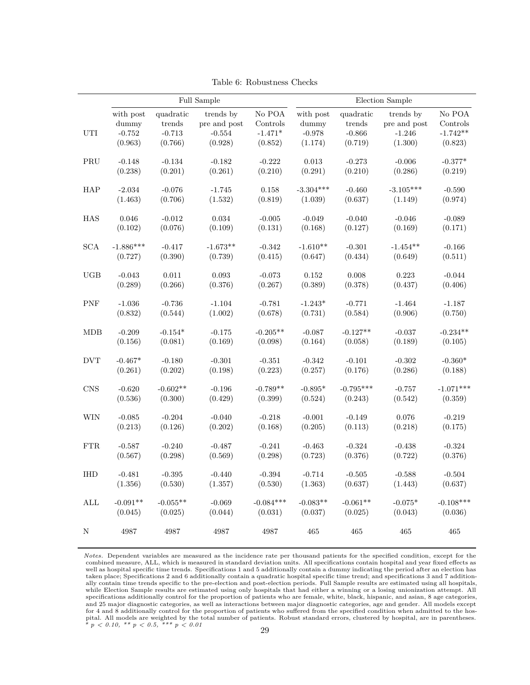|                      | Full Sample |            |              |             | Election Sample |             |              |             |
|----------------------|-------------|------------|--------------|-------------|-----------------|-------------|--------------|-------------|
|                      | with post   | quadratic  | trends by    | No POA      | with post       | quadratic   | trends by    | No POA      |
|                      | dummy       | trends     | pre and post | Controls    | dummy           | trends      | pre and post | Controls    |
| UTI                  | $-0.752$    | $-0.713$   | $-0.554$     | $-1.471*$   | $-0.978$        | $-0.866$    | $-1.246$     | $-1.742**$  |
|                      | (0.963)     | (0.766)    | (0.928)      | (0.852)     | (1.174)         | (0.719)     | (1.300)      | (0.823)     |
| $\operatorname{PRU}$ | $-0.148$    | $-0.134$   | $-0.182$     | $-0.222$    | 0.013           | $-0.273$    | $-0.006$     | $-0.377*$   |
|                      | (0.238)     | (0.201)    | (0.261)      | (0.210)     | (0.291)         | (0.210)     | (0.286)      | (0.219)     |
| HAP                  | $-2.034$    | $-0.076$   | $-1.745$     | 0.158       | $-3.304***$     | $-0.460$    | $-3.105***$  | $-0.590$    |
|                      | (1.463)     | (0.706)    | (1.532)      | (0.819)     | (1.039)         | (0.637)     | (1.149)      | (0.974)     |
| HAS                  | 0.046       | $-0.012$   | 0.034        | $-0.005$    | $-0.049$        | $-0.040$    | $-0.046$     | $-0.089$    |
|                      | (0.102)     | (0.076)    | (0.109)      | (0.131)     | (0.168)         | (0.127)     | (0.169)      | (0.171)     |
| <b>SCA</b>           | $-1.886***$ | $-0.417$   | $-1.673**$   | $-0.342$    | $-1.610**$      | $-0.301$    | $-1.454**$   | $-0.166$    |
|                      | (0.727)     | (0.390)    | (0.739)      | (0.415)     | (0.647)         | (0.434)     | (0.649)      | (0.511)     |
| UGB                  | $-0.043$    | 0.011      | 0.093        | $-0.073$    | 0.152           | 0.008       | 0.223        | $-0.044$    |
|                      | (0.289)     | (0.266)    | (0.376)      | (0.267)     | (0.389)         | (0.378)     | (0.437)      | (0.406)     |
| ${\mbox{PNF}}$       | $-1.036$    | $-0.736$   | $-1.104$     | $-0.781$    | $-1.243*$       | $-0.771$    | $-1.464$     | $-1.187$    |
|                      | (0.832)     | (0.544)    | (1.002)      | (0.678)     | (0.731)         | (0.584)     | (0.906)      | (0.750)     |
| <b>MDB</b>           | $-0.209$    | $-0.154*$  | $-0.175$     | $-0.205**$  | $-0.087$        | $-0.127**$  | $-0.037$     | $-0.234**$  |
|                      | (0.156)     | (0.081)    | (0.169)      | (0.098)     | (0.164)         | (0.058)     | (0.189)      | (0.105)     |
| <b>DVT</b>           | $-0.467*$   | $-0.180$   | $-0.301$     | $-0.351$    | $-0.342$        | $-0.101$    | $-0.302$     | $-0.360*$   |
|                      | (0.261)     | (0.202)    | (0.198)      | (0.223)     | (0.257)         | (0.176)     | (0.286)      | (0.188)     |
| <b>CNS</b>           | $-0.620$    | $-0.602**$ | $-0.196$     | $-0.789**$  | $-0.895*$       | $-0.795***$ | $-0.757$     | $-1.071***$ |
|                      | (0.536)     | (0.300)    | (0.429)      | (0.399)     | (0.524)         | (0.243)     | (0.542)      | (0.359)     |
| <b>WIN</b>           | $-0.085$    | $-0.204$   | $-0.040$     | $-0.218$    | $-0.001$        | $-0.149$    | 0.076        | $-0.219$    |
|                      | (0.213)     | (0.126)    | (0.202)      | (0.168)     | (0.205)         | (0.113)     | (0.218)      | (0.175)     |
| ${\rm FTR}$          | $-0.587$    | $-0.240$   | $-0.487$     | $-0.241$    | $-0.463$        | $-0.324$    | $-0.438$     | $-0.324$    |
|                      | (0.567)     | (0.298)    | (0.569)      | (0.298)     | (0.723)         | (0.376)     | (0.722)      | (0.376)     |
| <b>IHD</b>           | $-0.481$    | $-0.395$   | $-0.440$     | $-0.394$    | $-0.714$        | $-0.505$    | $-0.588$     | $-0.504$    |
|                      | (1.356)     | (0.530)    | (1.357)      | (0.530)     | (1.363)         | (0.637)     | (1.443)      | (0.637)     |
| $\mbox{ALL}$         | $-0.091**$  | $-0.055**$ | $-0.069$     | $-0.084***$ | $-0.083**$      | $-0.061**$  | $-0.075*$    | $-0.108***$ |
|                      | (0.045)     | (0.025)    | (0.044)      | (0.031)     | (0.037)         | (0.025)     | (0.043)      | (0.036)     |
| ${\rm N}$            | 4987        | 4987       | 4987         | 4987        | 465             | 465         | 465          | 465         |

Table 6: Robustness Checks

*Notes.* Dependent variables are measured as the incidence rate per thousand patients for the specified condition, except for the combined measure, ALL, which is measured in standard deviation units. All specifications contain hospital and year fixed effects as well as hospital specific time trends. Specifications 1 and 5 additionally contain a dummy indicating the period after an election has taken place; Specifications 2 and 6 additionally contain a quadratic hospital specific time trend; and specifications 3 and 7 addition-<br>ally contain time trends specific to the pre-election and post-election periods. Full while Election Sample results are estimated using only hospitals that had either a winning or a losing unionization attempt. All specifications additionally control for the proportion of patients who are female, white, black, hispanic, and asian, 8 age categories, and 25 major diagnostic categories, as well as interactions between major diagnostic categories, age and gender. All models except for 4 and 8 additionally control for the proportion of patients who suffered from the specified condition when admitted to the hospital. All models are weighted by the total number of patients. Robust standard errors, clustered by hospital, are in parentheses.<br> *\* p < 0.10, \*\* p < 0.5, \*\*\* p < 0.01*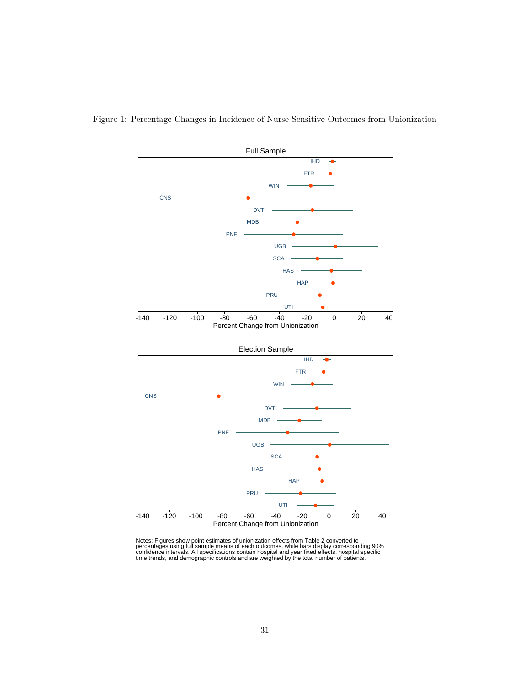

Figure 1: Percentage Changes in Incidence of Nurse Sensitive Outcomes from Unionization

Notes: Figures show point estimates of unionization effects from Table 2 converted to<br>percentages using full sample means of each outcomes, while bars display corresponding 90%<br>confidence intervals. All specifications cont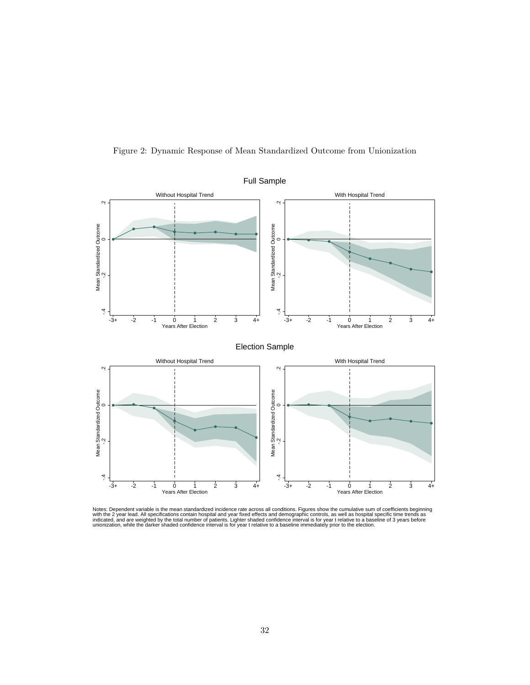



Notes: Dependent variable is the mean standardized incidence rate across all conditions. Figures show the cumulative sum of coefficients beginning<br>with the 2 year lead. All specifications contain hospital and year fixed ef